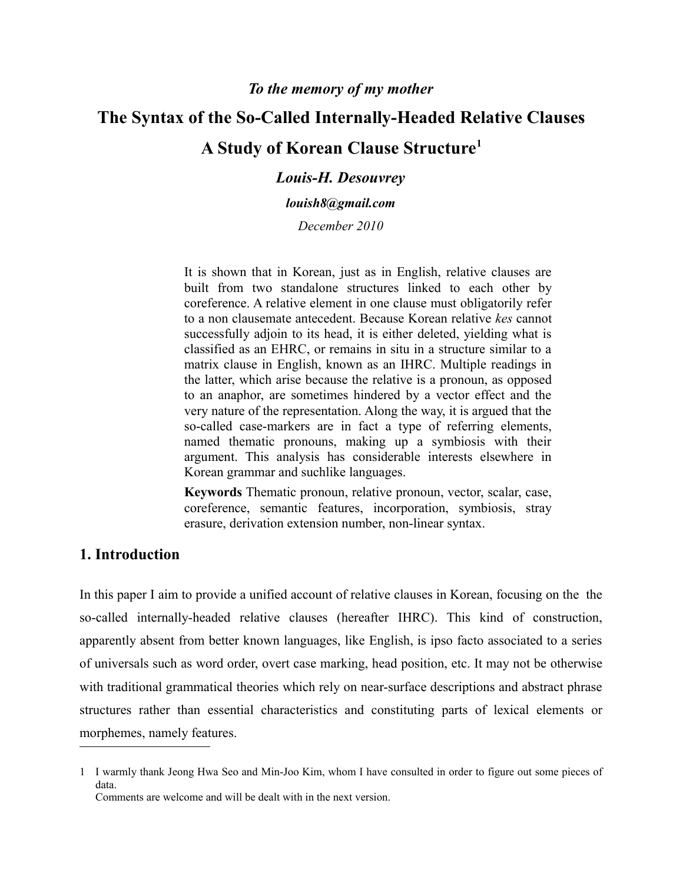# **The Syntax of the So-Called Internally-Headed Relative Clauses A Study of Korean Clause Structure[1](#page-0-0)**

## *Louis-H. Desouvrey*

*louish8@gmail.com*

*December 2010*

It is shown that in Korean, just as in English, relative clauses are built from two standalone structures linked to each other by coreference. A relative element in one clause must obligatorily refer to a non clausemate antecedent. Because Korean relative *kes* cannot successfully adjoin to its head, it is either deleted, yielding what is classified as an EHRC, or remains in situ in a structure similar to a matrix clause in English, known as an IHRC. Multiple readings in the latter, which arise because the relative is a pronoun, as opposed to an anaphor, are sometimes hindered by a vector effect and the very nature of the representation. Along the way, it is argued that the so-called case-markers are in fact a type of referring elements, named thematic pronouns, making up a symbiosis with their argument. This analysis has considerable interests elsewhere in Korean grammar and suchlike languages.

**Keywords** Thematic pronoun, relative pronoun, vector, scalar, case, coreference, semantic features, incorporation, symbiosis, stray erasure, derivation extension number, non-linear syntax.

# **1. Introduction**

In this paper I aim to provide a unified account of relative clauses in Korean, focusing on the the so-called internally-headed relative clauses (hereafter IHRC). This kind of construction, apparently absent from better known languages, like English, is ipso facto associated to a series of universals such as word order, overt case marking, head position, etc. It may not be otherwise with traditional grammatical theories which rely on near-surface descriptions and abstract phrase structures rather than essential characteristics and constituting parts of lexical elements or morphemes, namely features.

<span id="page-0-0"></span><sup>1</sup> I warmly thank Jeong Hwa Seo and Min-Joo Kim, whom I have consulted in order to figure out some pieces of data. Comments are welcome and will be dealt with in the next version.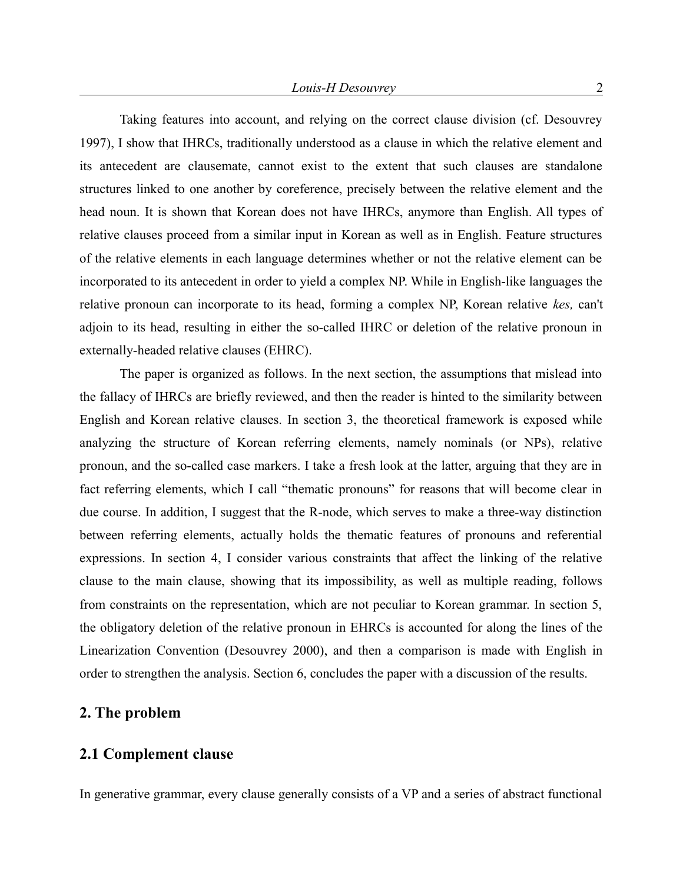Taking features into account, and relying on the correct clause division (cf. Desouvrey 1997), I show that IHRCs, traditionally understood as a clause in which the relative element and its antecedent are clausemate, cannot exist to the extent that such clauses are standalone structures linked to one another by coreference, precisely between the relative element and the head noun. It is shown that Korean does not have IHRCs, anymore than English. All types of relative clauses proceed from a similar input in Korean as well as in English. Feature structures of the relative elements in each language determines whether or not the relative element can be incorporated to its antecedent in order to yield a complex NP. While in English-like languages the relative pronoun can incorporate to its head, forming a complex NP, Korean relative *kes,* can't adjoin to its head, resulting in either the so-called IHRC or deletion of the relative pronoun in externally-headed relative clauses (EHRC).

The paper is organized as follows. In the next section, the assumptions that mislead into the fallacy of IHRCs are briefly reviewed, and then the reader is hinted to the similarity between English and Korean relative clauses. In section 3, the theoretical framework is exposed while analyzing the structure of Korean referring elements, namely nominals (or NPs), relative pronoun, and the so-called case markers. I take a fresh look at the latter, arguing that they are in fact referring elements, which I call "thematic pronouns" for reasons that will become clear in due course. In addition, I suggest that the R-node, which serves to make a three-way distinction between referring elements, actually holds the thematic features of pronouns and referential expressions. In section 4, I consider various constraints that affect the linking of the relative clause to the main clause, showing that its impossibility, as well as multiple reading, follows from constraints on the representation, which are not peculiar to Korean grammar. In section 5, the obligatory deletion of the relative pronoun in EHRCs is accounted for along the lines of the Linearization Convention (Desouvrey 2000), and then a comparison is made with English in order to strengthen the analysis. Section 6, concludes the paper with a discussion of the results.

## **2. The problem**

## **2.1 Complement clause**

In generative grammar, every clause generally consists of a VP and a series of abstract functional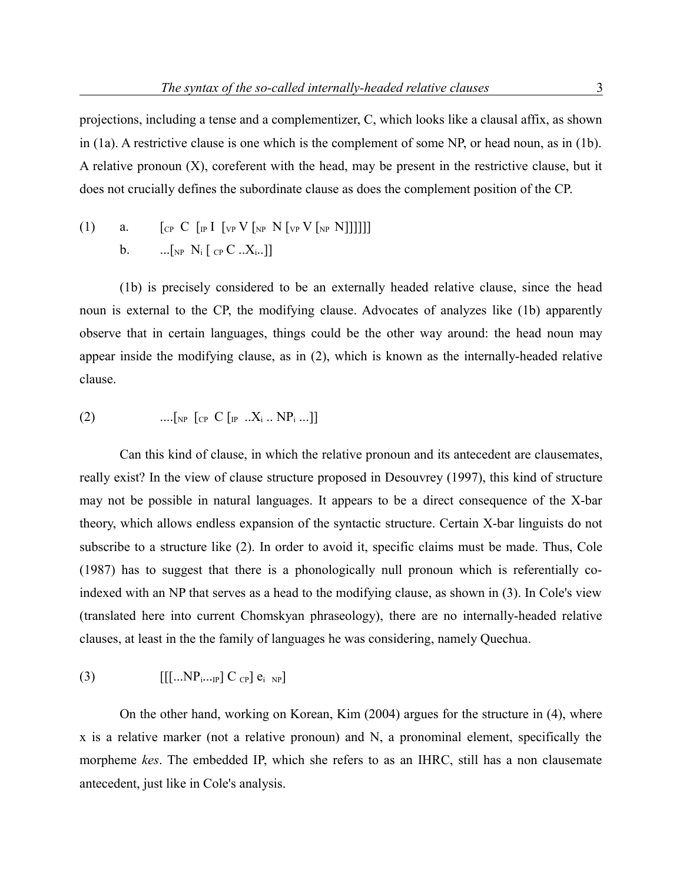projections, including a tense and a complementizer, C, which looks like a clausal affix, as shown in (1a). A restrictive clause is one which is the complement of some NP, or head noun, as in (1b). A relative pronoun (X), coreferent with the head, may be present in the restrictive clause, but it does not crucially defines the subordinate clause as does the complement position of the CP.

(1) a.  $\left[\begin{matrix} \frac{1}{1} & \frac{1}{1} & \frac{1}{1} & \frac{1}{1} & \frac{1}{1} & \frac{1}{1} & \frac{1}{1} & \frac{1}{1} & \frac{1}{1} & \frac{1}{1} & \frac{1}{1} & \frac{1}{1} & \frac{1}{1} & \frac{1}{1} & \frac{1}{1} & \frac{1}{1} & \frac{1}{1} & \frac{1}{1} & \frac{1}{1} & \frac{1}{1} & \frac{1}{1} & \frac{1}{1} & \frac{1}{1} & \frac{1}{1} & \frac{1}{1} & \frac{1}{1$ b.  $\ldots$   $\lceil_{NP} N_i \rceil_{CP} C \ldots X_i \ldots \rceil$ 

(1b) is precisely considered to be an externally headed relative clause, since the head noun is external to the CP, the modifying clause. Advocates of analyzes like (1b) apparently observe that in certain languages, things could be the other way around: the head noun may appear inside the modifying clause, as in (2), which is known as the internally-headed relative clause.

(2) 
$$
\dots
$$
 [<sub>NP</sub> [<sub>CP</sub> C [<sub>P</sub> ..X<sub>i</sub> .. NP<sub>i</sub>...]]

Can this kind of clause, in which the relative pronoun and its antecedent are clausemates, really exist? In the view of clause structure proposed in Desouvrey (1997), this kind of structure may not be possible in natural languages. It appears to be a direct consequence of the X-bar theory, which allows endless expansion of the syntactic structure. Certain X-bar linguists do not subscribe to a structure like (2). In order to avoid it, specific claims must be made. Thus, Cole (1987) has to suggest that there is a phonologically null pronoun which is referentially coindexed with an NP that serves as a head to the modifying clause, as shown in (3). In Cole's view (translated here into current Chomskyan phraseology), there are no internally-headed relative clauses, at least in the the family of languages he was considering, namely Quechua.

$$
(3) \qquad \qquad [[[...NP_{i...P}] C_{CP}] e_{i NP}]
$$

On the other hand, working on Korean, Kim (2004) argues for the structure in (4), where x is a relative marker (not a relative pronoun) and N, a pronominal element, specifically the morpheme *kes*. The embedded IP, which she refers to as an IHRC, still has a non clausemate antecedent, just like in Cole's analysis.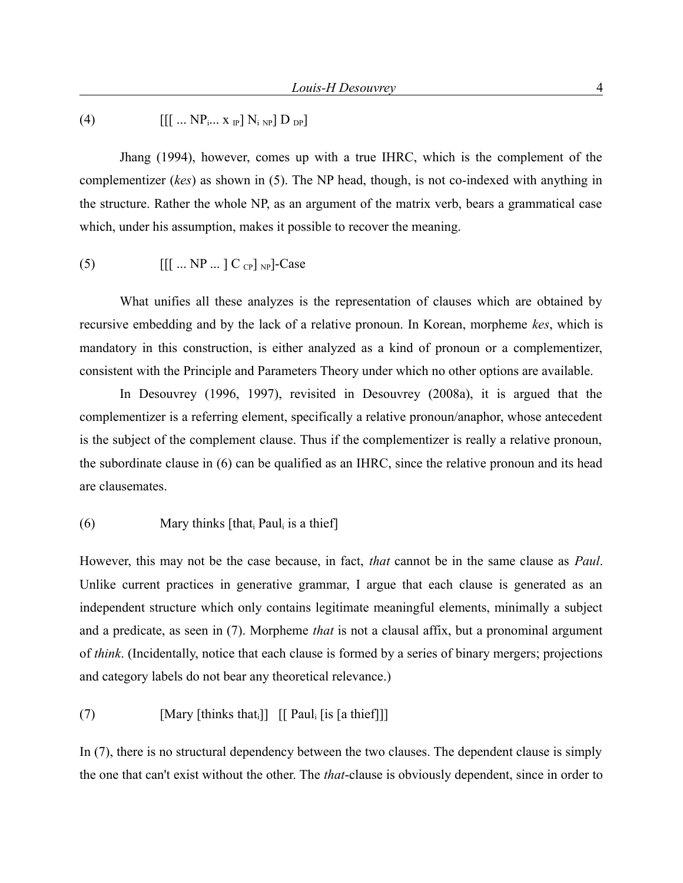# (4)  $[[[...]\text{ NP}_{i} \dots \text{ X}_{i}] \text{ N}_{i} \text{ NP}] \text{ D}_{i}$

Jhang (1994), however, comes up with a true IHRC, which is the complement of the complementizer (*kes*) as shown in (5). The NP head, though, is not co-indexed with anything in the structure. Rather the whole NP, as an argument of the matrix verb, bears a grammatical case which, under his assumption, makes it possible to recover the meaning.

$$
(5) \qquad \qquad [[\dots NP \dots ] C_{CP}]_{NP}]\text{-Case}
$$

What unifies all these analyzes is the representation of clauses which are obtained by recursive embedding and by the lack of a relative pronoun. In Korean, morpheme *kes*, which is mandatory in this construction, is either analyzed as a kind of pronoun or a complementizer, consistent with the Principle and Parameters Theory under which no other options are available.

In Desouvrey (1996, 1997), revisited in Desouvrey (2008a), it is argued that the complementizer is a referring element, specifically a relative pronoun/anaphor, whose antecedent is the subject of the complement clause. Thus if the complementizer is really a relative pronoun, the subordinate clause in (6) can be qualified as an IHRC, since the relative pronoun and its head are clausemates.

#### $(6)$  Mary thinks [that Paul is a thief]

However, this may not be the case because, in fact, *that* cannot be in the same clause as *Paul*. Unlike current practices in generative grammar, I argue that each clause is generated as an independent structure which only contains legitimate meaningful elements, minimally a subject and a predicate, as seen in (7). Morpheme *that* is not a clausal affix, but a pronominal argument of *think*. (Incidentally, notice that each clause is formed by a series of binary mergers; projections and category labels do not bear any theoretical relevance.)

# (7) [Mary [thinks that<sub>i</sub>]] [[ Paul<sub>i</sub> [is [a thief]]]

In (7), there is no structural dependency between the two clauses. The dependent clause is simply the one that can't exist without the other. The *that*-clause is obviously dependent, since in order to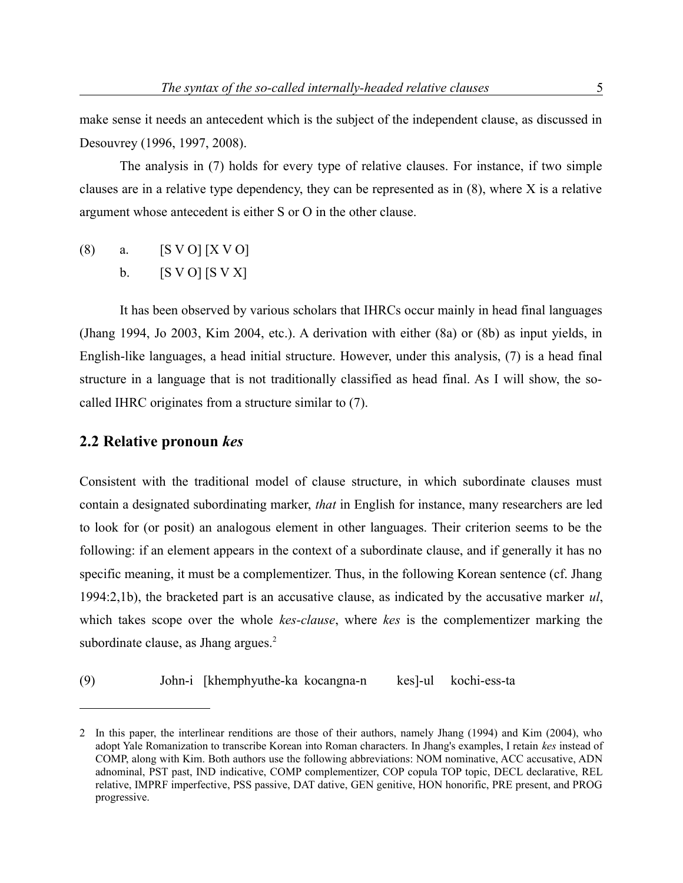make sense it needs an antecedent which is the subject of the independent clause, as discussed in Desouvrey (1996, 1997, 2008).

The analysis in (7) holds for every type of relative clauses. For instance, if two simple clauses are in a relative type dependency, they can be represented as in  $(8)$ , where X is a relative argument whose antecedent is either S or O in the other clause.

(8) a.  $[S V O] [X V O]$ b.  $[S \space V \space O]$   $[S \space V \space X]$ 

It has been observed by various scholars that IHRCs occur mainly in head final languages (Jhang 1994, Jo 2003, Kim 2004, etc.). A derivation with either (8a) or (8b) as input yields, in English-like languages, a head initial structure. However, under this analysis, (7) is a head final structure in a language that is not traditionally classified as head final. As I will show, the socalled IHRC originates from a structure similar to (7).

# **2.2 Relative pronoun** *kes*

Consistent with the traditional model of clause structure, in which subordinate clauses must contain a designated subordinating marker, *that* in English for instance, many researchers are led to look for (or posit) an analogous element in other languages. Their criterion seems to be the following: if an element appears in the context of a subordinate clause, and if generally it has no specific meaning, it must be a complementizer. Thus, in the following Korean sentence (cf. Jhang 1994:2,1b), the bracketed part is an accusative clause, as indicated by the accusative marker *ul*, which takes scope over the whole *kes-clause*, where *kes* is the complementizer marking the subordinate clause, as Jhang argues.<sup>[2](#page-4-0)</sup>

(9) John-i [khemphyuthe-ka kocangna-n kes]-ul kochi-ess-ta

<span id="page-4-0"></span><sup>2</sup> In this paper, the interlinear renditions are those of their authors, namely Jhang (1994) and Kim (2004), who adopt Yale Romanization to transcribe Korean into Roman characters. In Jhang's examples, I retain *kes* instead of COMP, along with Kim. Both authors use the following abbreviations: NOM nominative, ACC accusative, ADN adnominal, PST past, IND indicative, COMP complementizer, COP copula TOP topic, DECL declarative, REL relative, IMPRF imperfective, PSS passive, DAT dative, GEN genitive, HON honorific, PRE present, and PROG progressive.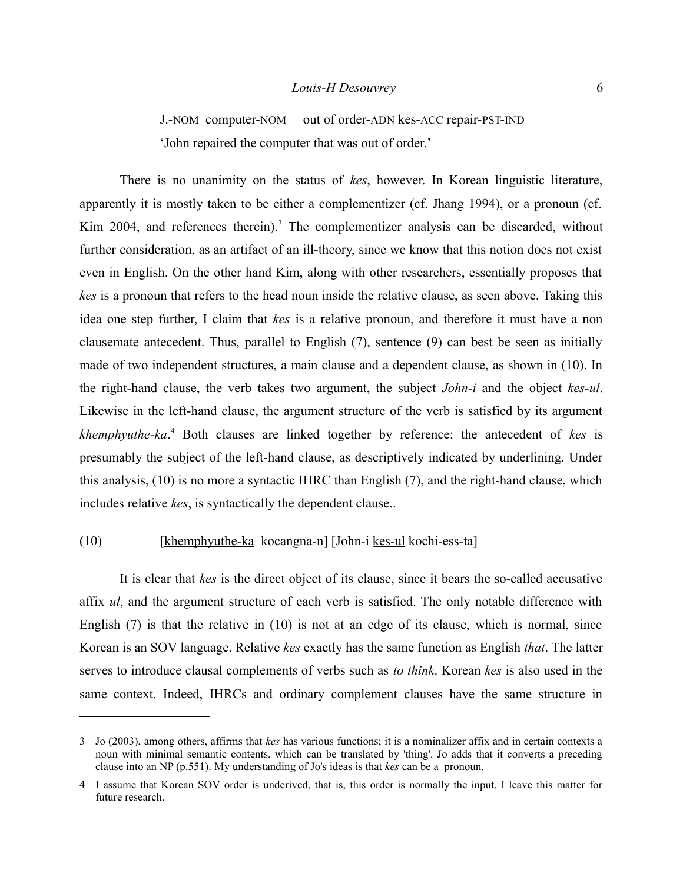J.-NOM computer-NOM out of order-ADN kes-ACC repair-PST-IND 'John repaired the computer that was out of order.'

There is no unanimity on the status of *kes*, however. In Korean linguistic literature, apparently it is mostly taken to be either a complementizer (cf. Jhang 1994), or a pronoun (cf. Kim 2004, and references therein).<sup>[3](#page-5-0)</sup> The complementizer analysis can be discarded, without further consideration, as an artifact of an ill-theory, since we know that this notion does not exist even in English. On the other hand Kim, along with other researchers, essentially proposes that *kes* is a pronoun that refers to the head noun inside the relative clause, as seen above. Taking this idea one step further, I claim that *kes* is a relative pronoun, and therefore it must have a non clausemate antecedent. Thus, parallel to English (7), sentence (9) can best be seen as initially made of two independent structures, a main clause and a dependent clause, as shown in (10). In the right-hand clause, the verb takes two argument, the subject *John-i* and the object *kes-ul*. Likewise in the left-hand clause, the argument structure of the verb is satisfied by its argument *khemphyuthe-ka*. [4](#page-5-1) Both clauses are linked together by reference: the antecedent of *kes* is presumably the subject of the left-hand clause, as descriptively indicated by underlining. Under this analysis, (10) is no more a syntactic IHRC than English (7), and the right-hand clause, which includes relative *kes*, is syntactically the dependent clause..

#### (10) [khemphyuthe-ka kocangna-n] [John-i kes-ul kochi-ess-ta]

It is clear that *kes* is the direct object of its clause, since it bears the so-called accusative affix *ul*, and the argument structure of each verb is satisfied. The only notable difference with English (7) is that the relative in (10) is not at an edge of its clause, which is normal, since Korean is an SOV language. Relative *kes* exactly has the same function as English *that*. The latter serves to introduce clausal complements of verbs such as *to think*. Korean *kes* is also used in the same context. Indeed, IHRCs and ordinary complement clauses have the same structure in

<span id="page-5-0"></span><sup>3</sup> Jo (2003), among others, affirms that *kes* has various functions; it is a nominalizer affix and in certain contexts a noun with minimal semantic contents, which can be translated by 'thing'. Jo adds that it converts a preceding clause into an NP (p.551). My understanding of Jo's ideas is that *kes* can be a pronoun.

<span id="page-5-1"></span><sup>4</sup> I assume that Korean SOV order is underived, that is, this order is normally the input. I leave this matter for future research.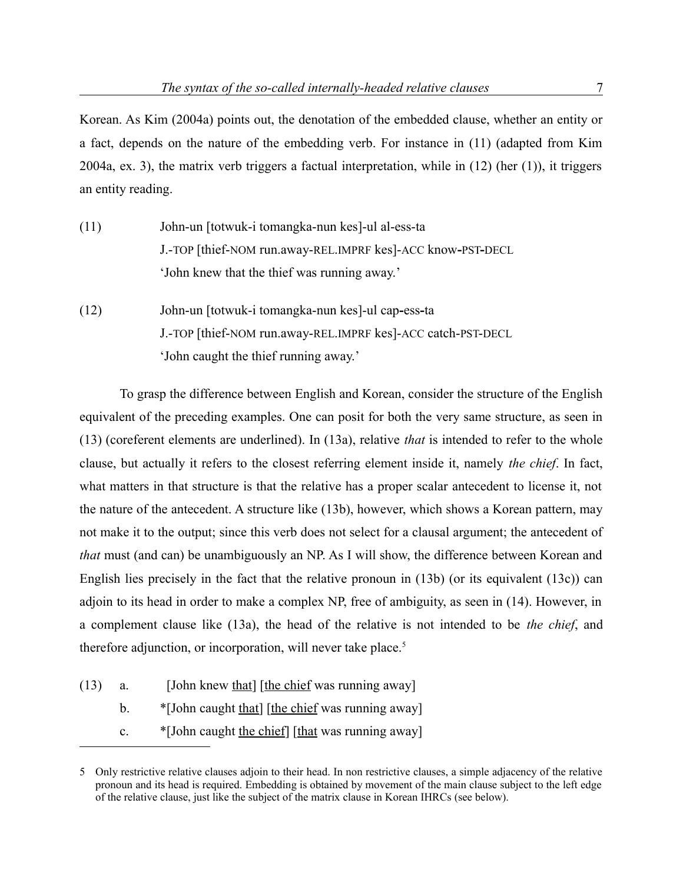Korean. As Kim (2004a) points out, the denotation of the embedded clause, whether an entity or a fact, depends on the nature of the embedding verb. For instance in (11) (adapted from Kim 2004a, ex. 3), the matrix verb triggers a factual interpretation, while in (12) (her (1)), it triggers an entity reading.

- (11) John-un [totwuk-i tomangka-nun kes]-ul al-ess-ta J.-TOP [thief-NOM run.away-REL.IMPRF kes]-ACC know**-**PST**-**DECL 'John knew that the thief was running away.'
- (12) John-un [totwuk-i tomangka-nun kes]-ul cap**-**ess**-**ta J.-TOP [thief-NOM run.away-REL.IMPRF kes]-ACC catch-PST-DECL 'John caught the thief running away.'

To grasp the difference between English and Korean, consider the structure of the English equivalent of the preceding examples. One can posit for both the very same structure, as seen in (13) (coreferent elements are underlined). In (13a), relative *that* is intended to refer to the whole clause, but actually it refers to the closest referring element inside it, namely *the chief*. In fact, what matters in that structure is that the relative has a proper scalar antecedent to license it, not the nature of the antecedent. A structure like (13b), however, which shows a Korean pattern, may not make it to the output; since this verb does not select for a clausal argument; the antecedent of *that* must (and can) be unambiguously an NP. As I will show, the difference between Korean and English lies precisely in the fact that the relative pronoun in  $(13b)$  (or its equivalent  $(13c)$ ) can adjoin to its head in order to make a complex NP, free of ambiguity, as seen in (14). However, in a complement clause like (13a), the head of the relative is not intended to be *the chief*, and therefore adjunction, or incorporation, will never take place.<sup>[5](#page-6-0)</sup>

- (13) a. [John knew that]  $[the chief was running away]$ 
	- b.  $\bullet$  [John caught that] [the chief was running away]
	- c.  $*$ [John caught the chief] [that was running away]

<span id="page-6-0"></span><sup>5</sup> Only restrictive relative clauses adjoin to their head. In non restrictive clauses, a simple adjacency of the relative pronoun and its head is required. Embedding is obtained by movement of the main clause subject to the left edge of the relative clause, just like the subject of the matrix clause in Korean IHRCs (see below).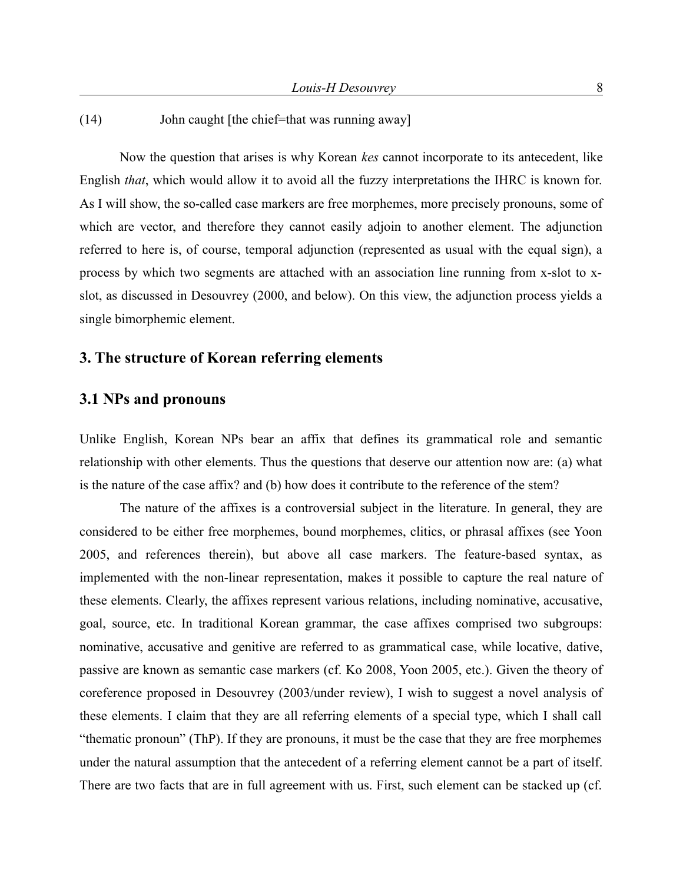(14) John caught [the chief=that was running away]

Now the question that arises is why Korean *kes* cannot incorporate to its antecedent, like English *that*, which would allow it to avoid all the fuzzy interpretations the IHRC is known for. As I will show, the so-called case markers are free morphemes, more precisely pronouns, some of which are vector, and therefore they cannot easily adjoin to another element. The adjunction referred to here is, of course, temporal adjunction (represented as usual with the equal sign), a process by which two segments are attached with an association line running from x-slot to xslot, as discussed in Desouvrey (2000, and below). On this view, the adjunction process yields a single bimorphemic element.

# **3. The structure of Korean referring elements**

## **3.1 NPs and pronouns**

Unlike English, Korean NPs bear an affix that defines its grammatical role and semantic relationship with other elements. Thus the questions that deserve our attention now are: (a) what is the nature of the case affix? and (b) how does it contribute to the reference of the stem?

The nature of the affixes is a controversial subject in the literature. In general, they are considered to be either free morphemes, bound morphemes, clitics, or phrasal affixes (see Yoon 2005, and references therein), but above all case markers. The feature-based syntax, as implemented with the non-linear representation, makes it possible to capture the real nature of these elements. Clearly, the affixes represent various relations, including nominative, accusative, goal, source, etc. In traditional Korean grammar, the case affixes comprised two subgroups: nominative, accusative and genitive are referred to as grammatical case, while locative, dative, passive are known as semantic case markers (cf. Ko 2008, Yoon 2005, etc.). Given the theory of coreference proposed in Desouvrey (2003/under review), I wish to suggest a novel analysis of these elements. I claim that they are all referring elements of a special type, which I shall call "thematic pronoun" (ThP). If they are pronouns, it must be the case that they are free morphemes under the natural assumption that the antecedent of a referring element cannot be a part of itself. There are two facts that are in full agreement with us. First, such element can be stacked up (cf.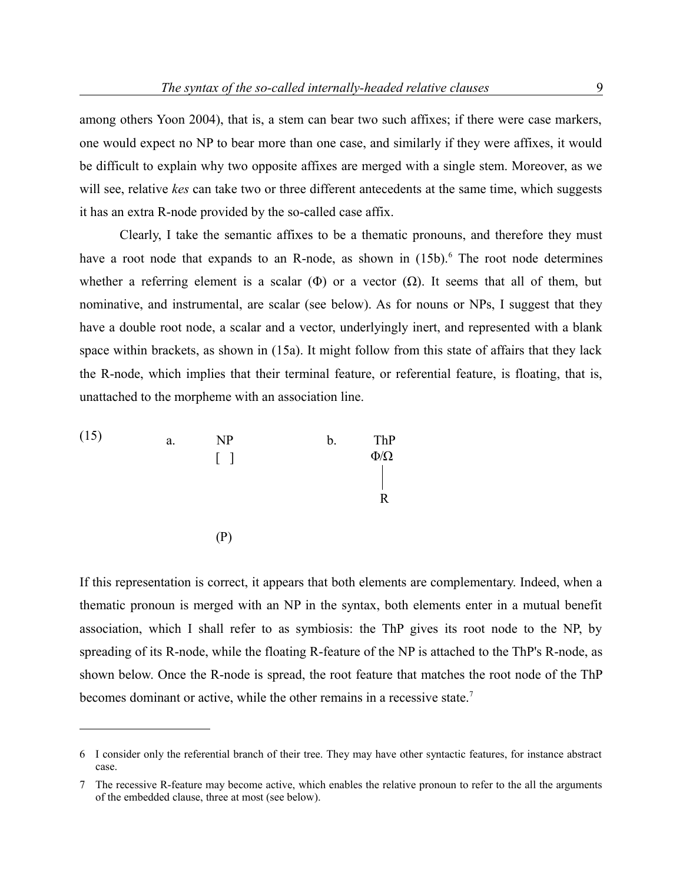among others Yoon 2004), that is, a stem can bear two such affixes; if there were case markers, one would expect no NP to bear more than one case, and similarly if they were affixes, it would be difficult to explain why two opposite affixes are merged with a single stem. Moreover, as we will see, relative *kes* can take two or three different antecedents at the same time, which suggests it has an extra R-node provided by the so-called case affix.

Clearly, I take the semantic affixes to be a thematic pronouns, and therefore they must have a root node that expands to an R-node, as shown in (15b).<sup>[6](#page-8-0)</sup> The root node determines whether a referring element is a scalar  $(\Phi)$  or a vector  $(\Omega)$ . It seems that all of them, but nominative, and instrumental, are scalar (see below). As for nouns or NPs, I suggest that they have a double root node, a scalar and a vector, underlyingly inert, and represented with a blank space within brackets, as shown in (15a). It might follow from this state of affairs that they lack the R-node, which implies that their terminal feature, or referential feature, is floating, that is, unattached to the morpheme with an association line.



If this representation is correct, it appears that both elements are complementary. Indeed, when a thematic pronoun is merged with an NP in the syntax, both elements enter in a mutual benefit association, which I shall refer to as symbiosis: the ThP gives its root node to the NP, by spreading of its R-node, while the floating R-feature of the NP is attached to the ThP's R-node, as shown below. Once the R-node is spread, the root feature that matches the root node of the ThP becomes dominant or active, while the other remains in a recessive state.<sup>[7](#page-8-1)</sup>

<span id="page-8-0"></span><sup>6</sup> I consider only the referential branch of their tree. They may have other syntactic features, for instance abstract case.

<span id="page-8-1"></span><sup>7</sup> The recessive R-feature may become active, which enables the relative pronoun to refer to the all the arguments of the embedded clause, three at most (see below).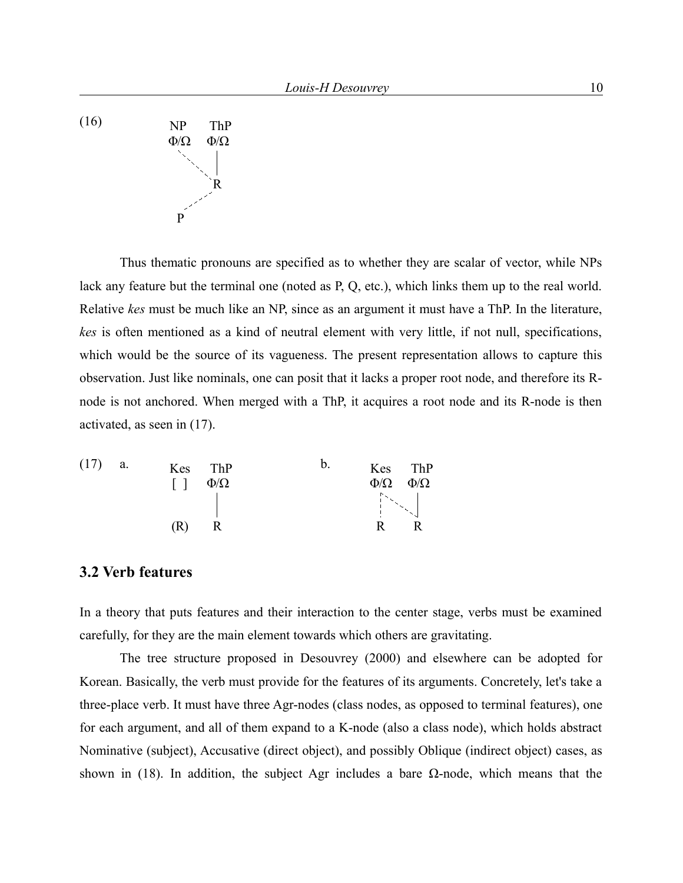(16) NP ThP Φ/Ω Φ/Ω R P

Thus thematic pronouns are specified as to whether they are scalar of vector, while NPs lack any feature but the terminal one (noted as P, Q, etc.), which links them up to the real world. Relative *kes* must be much like an NP, since as an argument it must have a ThP. In the literature, *kes* is often mentioned as a kind of neutral element with very little, if not null, specifications, which would be the source of its vagueness. The present representation allows to capture this observation. Just like nominals, one can posit that it lacks a proper root node, and therefore its Rnode is not anchored. When merged with a ThP, it acquires a root node and its R-node is then activated, as seen in (17).

| (17) | a. | $\lceil$ $\rceil$ | Kes ThP<br>$\Phi/\Omega$ | D. | $\Phi/\Omega$                                                                                                                                                                                                                                                                                                                      | Kes ThP<br>$\Phi/\Omega$ |
|------|----|-------------------|--------------------------|----|------------------------------------------------------------------------------------------------------------------------------------------------------------------------------------------------------------------------------------------------------------------------------------------------------------------------------------|--------------------------|
|      |    |                   |                          |    | $\begin{bmatrix} 1 & 0 & 0 \\ 0 & 0 & 0 \\ 0 & 0 & 0 \\ 0 & 0 & 0 \\ 0 & 0 & 0 \\ 0 & 0 & 0 \\ 0 & 0 & 0 \\ 0 & 0 & 0 \\ 0 & 0 & 0 \\ 0 & 0 & 0 \\ 0 & 0 & 0 \\ 0 & 0 & 0 \\ 0 & 0 & 0 \\ 0 & 0 & 0 \\ 0 & 0 & 0 & 0 \\ 0 & 0 & 0 & 0 \\ 0 & 0 & 0 & 0 \\ 0 & 0 & 0 & 0 \\ 0 & 0 & 0 & 0 & 0 \\ 0 & 0 & 0 & 0 & 0 \\ 0 & 0 & 0 & $ |                          |
|      |    | (R)               |                          |    |                                                                                                                                                                                                                                                                                                                                    |                          |

## **3.2 Verb features**

In a theory that puts features and their interaction to the center stage, verbs must be examined carefully, for they are the main element towards which others are gravitating.

The tree structure proposed in Desouvrey (2000) and elsewhere can be adopted for Korean. Basically, the verb must provide for the features of its arguments. Concretely, let's take a three-place verb. It must have three Agr-nodes (class nodes, as opposed to terminal features), one for each argument, and all of them expand to a K-node (also a class node), which holds abstract Nominative (subject), Accusative (direct object), and possibly Oblique (indirect object) cases, as shown in (18). In addition, the subject Agr includes a bare  $\Omega$ -node, which means that the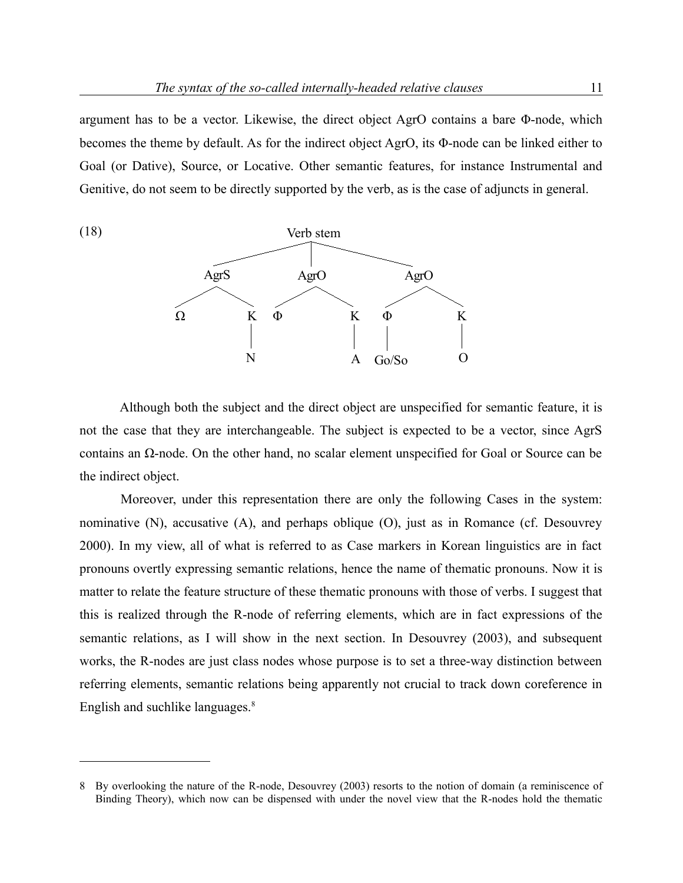argument has to be a vector. Likewise, the direct object AgrO contains a bare Φ-node, which becomes the theme by default. As for the indirect object AgrO, its Φ-node can be linked either to Goal (or Dative), Source, or Locative. Other semantic features, for instance Instrumental and Genitive, do not seem to be directly supported by the verb, as is the case of adjuncts in general.



Although both the subject and the direct object are unspecified for semantic feature, it is not the case that they are interchangeable. The subject is expected to be a vector, since AgrS contains an Ω-node. On the other hand, no scalar element unspecified for Goal or Source can be the indirect object.

Moreover, under this representation there are only the following Cases in the system: nominative (N), accusative (A), and perhaps oblique (O), just as in Romance (cf. Desouvrey 2000). In my view, all of what is referred to as Case markers in Korean linguistics are in fact pronouns overtly expressing semantic relations, hence the name of thematic pronouns. Now it is matter to relate the feature structure of these thematic pronouns with those of verbs. I suggest that this is realized through the R-node of referring elements, which are in fact expressions of the semantic relations, as I will show in the next section. In Desouvrey (2003), and subsequent works, the R-nodes are just class nodes whose purpose is to set a three-way distinction between referring elements, semantic relations being apparently not crucial to track down coreference in English and suchlike languages.<sup>[8](#page-10-0)</sup>

<span id="page-10-0"></span><sup>8</sup> By overlooking the nature of the R-node, Desouvrey (2003) resorts to the notion of domain (a reminiscence of Binding Theory), which now can be dispensed with under the novel view that the R-nodes hold the thematic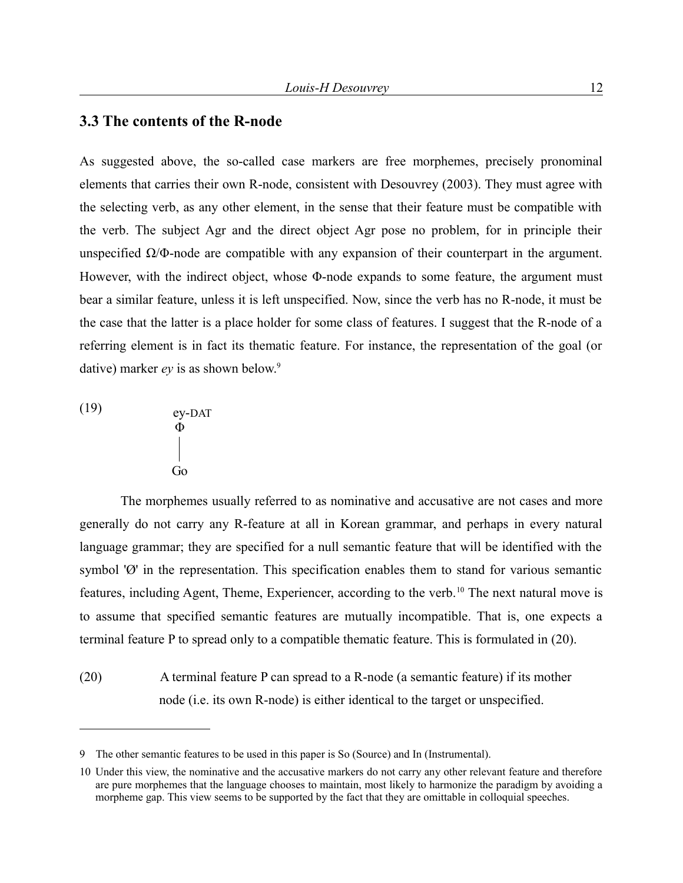### **3.3 The contents of the R-node**

As suggested above, the so-called case markers are free morphemes, precisely pronominal elements that carries their own R-node, consistent with Desouvrey (2003). They must agree with the selecting verb, as any other element, in the sense that their feature must be compatible with the verb. The subject Agr and the direct object Agr pose no problem, for in principle their unspecified  $\Omega/\Phi$ -node are compatible with any expansion of their counterpart in the argument. However, with the indirect object, whose Φ-node expands to some feature, the argument must bear a similar feature, unless it is left unspecified. Now, since the verb has no R-node, it must be the case that the latter is a place holder for some class of features. I suggest that the R-node of a referring element is in fact its thematic feature. For instance, the representation of the goal (or dative) marker *ev* is as shown below.<sup>[9](#page-11-0)</sup>

(19) ey-DAT

$$
\begin{array}{c}\n\bullet \\
\Phi \\
\downarrow \\
\hline\n\text{Go}\n\end{array}
$$

The morphemes usually referred to as nominative and accusative are not cases and more generally do not carry any R-feature at all in Korean grammar, and perhaps in every natural language grammar; they are specified for a null semantic feature that will be identified with the symbol 'Ø' in the representation. This specification enables them to stand for various semantic features, including Agent, Theme, Experiencer, according to the verb.<sup>[10](#page-11-1)</sup> The next natural move is to assume that specified semantic features are mutually incompatible. That is, one expects a terminal feature P to spread only to a compatible thematic feature. This is formulated in (20).

(20) A terminal feature P can spread to a R-node (a semantic feature) if its mother node (i.e. its own R-node) is either identical to the target or unspecified.

<span id="page-11-0"></span><sup>9</sup> The other semantic features to be used in this paper is So (Source) and In (Instrumental).

<span id="page-11-1"></span><sup>10</sup> Under this view, the nominative and the accusative markers do not carry any other relevant feature and therefore are pure morphemes that the language chooses to maintain, most likely to harmonize the paradigm by avoiding a morpheme gap. This view seems to be supported by the fact that they are omittable in colloquial speeches.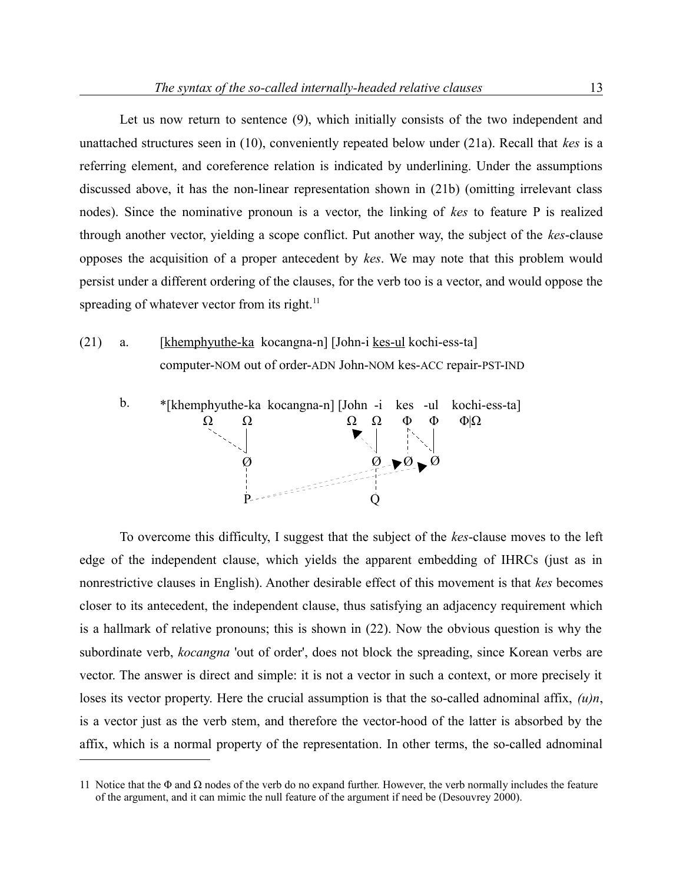Let us now return to sentence (9), which initially consists of the two independent and unattached structures seen in (10), conveniently repeated below under (21a). Recall that *kes* is a referring element, and coreference relation is indicated by underlining. Under the assumptions discussed above, it has the non-linear representation shown in (21b) (omitting irrelevant class nodes). Since the nominative pronoun is a vector, the linking of *kes* to feature P is realized through another vector, yielding a scope conflict. Put another way, the subject of the *kes*-clause opposes the acquisition of a proper antecedent by *kes*. We may note that this problem would persist under a different ordering of the clauses, for the verb too is a vector, and would oppose the spreading of whatever vector from its right. $11$ 

(21) a. [khemphyuthe-ka kocangna-n] [John-i kes-ul kochi-ess-ta] computer-NOM out of order-ADN John-NOM kes-ACC repair-PST-IND



To overcome this difficulty, I suggest that the subject of the *kes*-clause moves to the left edge of the independent clause, which yields the apparent embedding of IHRCs (just as in nonrestrictive clauses in English). Another desirable effect of this movement is that *kes* becomes closer to its antecedent, the independent clause, thus satisfying an adjacency requirement which is a hallmark of relative pronouns; this is shown in (22). Now the obvious question is why the subordinate verb, *kocangna* 'out of order', does not block the spreading, since Korean verbs are vector. The answer is direct and simple: it is not a vector in such a context, or more precisely it loses its vector property. Here the crucial assumption is that the so-called adnominal affix, *(u)n*, is a vector just as the verb stem, and therefore the vector-hood of the latter is absorbed by the affix, which is a normal property of the representation. In other terms, the so-called adnominal

<span id="page-12-0"></span><sup>11</sup> Notice that the  $\Phi$  and  $\Omega$  nodes of the verb do no expand further. However, the verb normally includes the feature of the argument, and it can mimic the null feature of the argument if need be (Desouvrey 2000).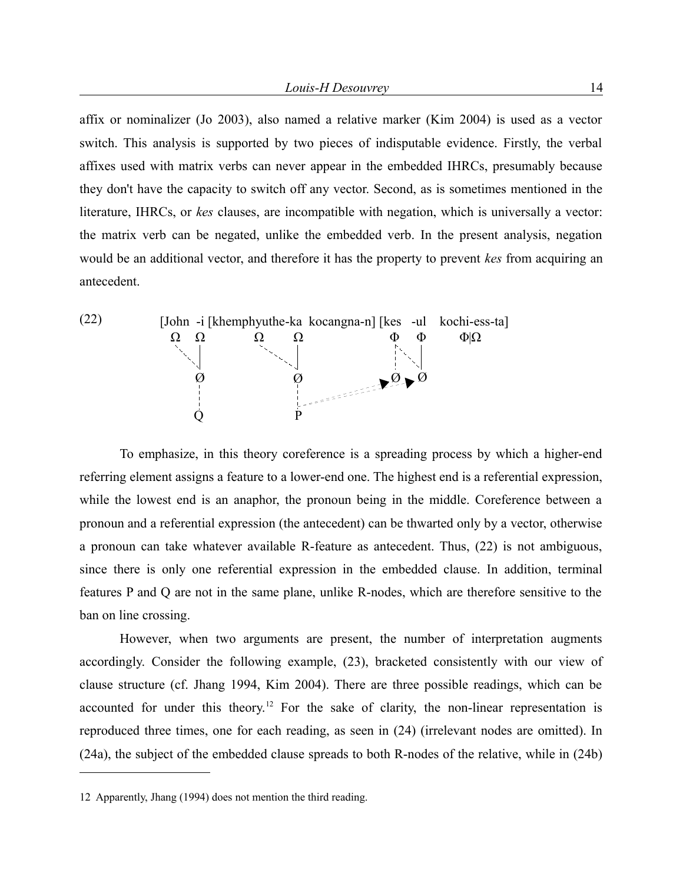affix or nominalizer (Jo 2003), also named a relative marker (Kim 2004) is used as a vector switch. This analysis is supported by two pieces of indisputable evidence. Firstly, the verbal affixes used with matrix verbs can never appear in the embedded IHRCs, presumably because they don't have the capacity to switch off any vector. Second, as is sometimes mentioned in the literature, IHRCs, or *kes* clauses, are incompatible with negation, which is universally a vector: the matrix verb can be negated, unlike the embedded verb. In the present analysis, negation would be an additional vector, and therefore it has the property to prevent *kes* from acquiring an antecedent.



To emphasize, in this theory coreference is a spreading process by which a higher-end referring element assigns a feature to a lower-end one. The highest end is a referential expression, while the lowest end is an anaphor, the pronoun being in the middle. Coreference between a pronoun and a referential expression (the antecedent) can be thwarted only by a vector, otherwise a pronoun can take whatever available R-feature as antecedent. Thus, (22) is not ambiguous, since there is only one referential expression in the embedded clause. In addition, terminal features P and Q are not in the same plane, unlike R-nodes, which are therefore sensitive to the ban on line crossing.

However, when two arguments are present, the number of interpretation augments accordingly. Consider the following example, (23), bracketed consistently with our view of clause structure (cf. Jhang 1994, Kim 2004). There are three possible readings, which can be accounted for under this theory.<sup>[12](#page-13-0)</sup> For the sake of clarity, the non-linear representation is reproduced three times, one for each reading, as seen in (24) (irrelevant nodes are omitted). In (24a), the subject of the embedded clause spreads to both R-nodes of the relative, while in (24b)

<span id="page-13-0"></span><sup>12</sup> Apparently, Jhang (1994) does not mention the third reading.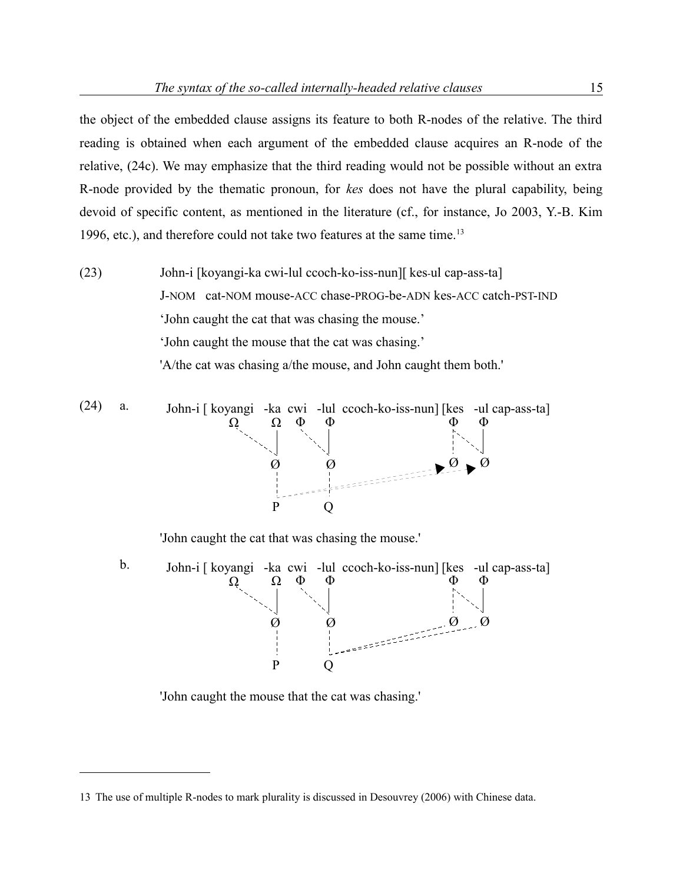the object of the embedded clause assigns its feature to both R-nodes of the relative. The third reading is obtained when each argument of the embedded clause acquires an R-node of the relative, (24c). We may emphasize that the third reading would not be possible without an extra R-node provided by the thematic pronoun, for *kes* does not have the plural capability, being devoid of specific content, as mentioned in the literature (cf., for instance, Jo 2003, Y.-B. Kim 1996, etc.), and therefore could not take two features at the same time.<sup>[13](#page-14-0)</sup>

(23) John-i [koyangi-ka cwi-lul ccoch-ko-iss-nun][ kes-ul cap-ass-ta] J-NOM cat-NOM mouse-ACC chase-PROG-be-ADN kes-ACC catch-PST-IND 'John caught the cat that was chasing the mouse.' 'John caught the mouse that the cat was chasing.' 'A/the cat was chasing a/the mouse, and John caught them both.'

(24) a. John-i [koyangi -ka cwi -lul cooch-ko-iss-nun] [kes -ul cap-ass-ta]  
\n
$$
Q
$$
  $Q$   $Q$   
\n $Q$   $Q$   
\n $Q$   $Q$   
\n $Q$   $Q$   
\n $Q$   $Q$   
\n $Q$   $Q$ 

'John caught the cat that was chasing the mouse.'



'John caught the mouse that the cat was chasing.'

<span id="page-14-0"></span><sup>13</sup> The use of multiple R-nodes to mark plurality is discussed in Desouvrey (2006) with Chinese data.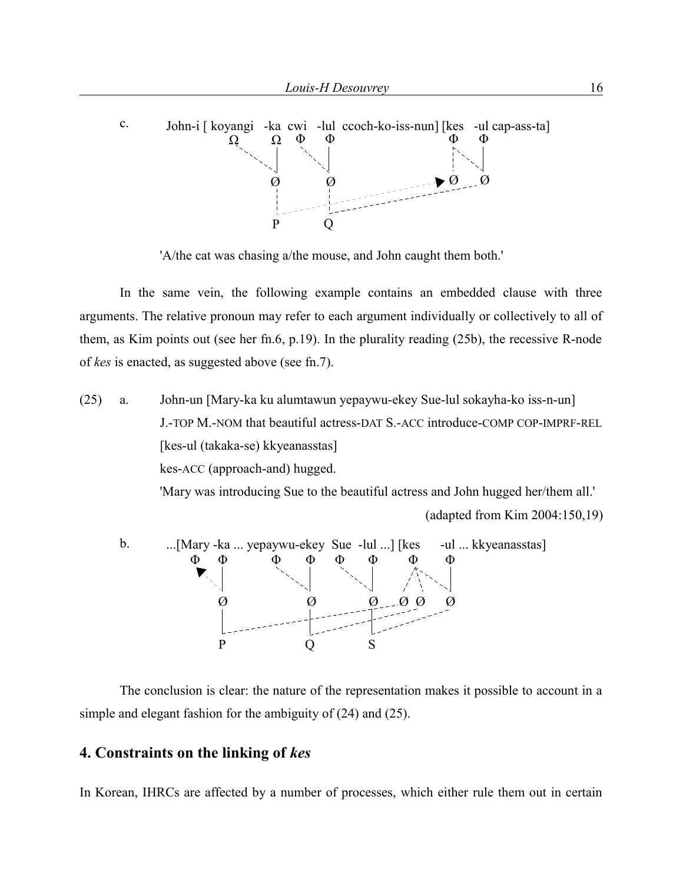

'A/the cat was chasing a/the mouse, and John caught them both.'

In the same vein, the following example contains an embedded clause with three arguments. The relative pronoun may refer to each argument individually or collectively to all of them, as Kim points out (see her fn.6, p.19). In the plurality reading (25b), the recessive R-node of *kes* is enacted, as suggested above (see fn.7).

(25) a. John-un [Mary-ka ku alumtawun yepaywu-ekey Sue-lul sokayha-ko iss-n-un] J.-TOP M.-NOM that beautiful actress-DAT S.-ACC introduce-COMP COP-IMPRF-REL [kes-ul (takaka-se) kkyeanasstas] kes-ACC (approach-and) hugged. 'Mary was introducing Sue to the beautiful actress and John hugged her/them all.' (adapted from Kim 2004:150,19)



The conclusion is clear: the nature of the representation makes it possible to account in a simple and elegant fashion for the ambiguity of (24) and (25).

## **4. Constraints on the linking of** *kes*

In Korean, IHRCs are affected by a number of processes, which either rule them out in certain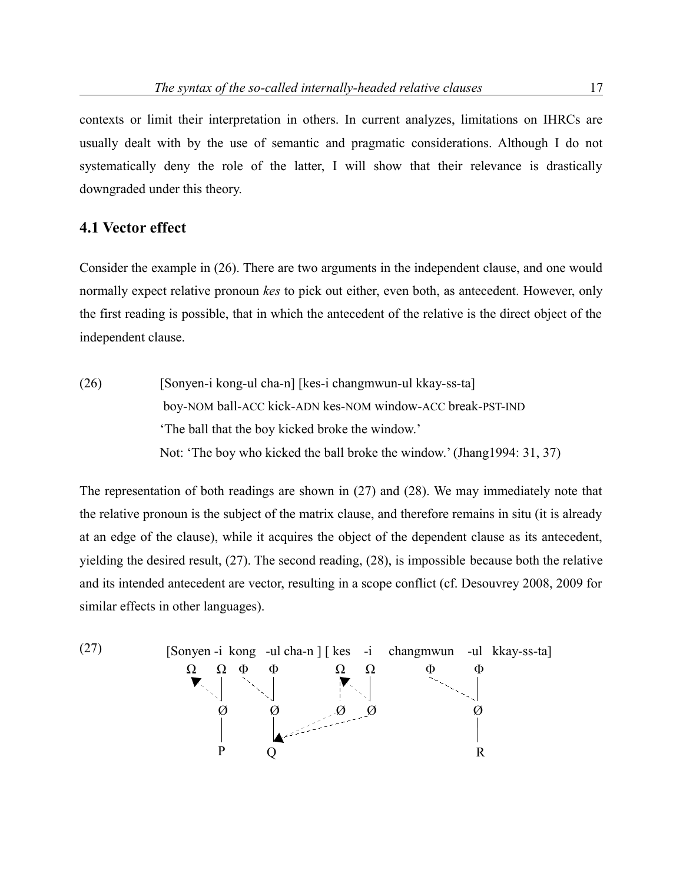contexts or limit their interpretation in others. In current analyzes, limitations on IHRCs are usually dealt with by the use of semantic and pragmatic considerations. Although I do not systematically deny the role of the latter, I will show that their relevance is drastically downgraded under this theory.

# **4.1 Vector effect**

Consider the example in (26). There are two arguments in the independent clause, and one would normally expect relative pronoun *kes* to pick out either, even both, as antecedent. However, only the first reading is possible, that in which the antecedent of the relative is the direct object of the independent clause.

(26) [Sonyen-i kong-ul cha-n] [kes-i changmwun-ul kkay-ss-ta] boy-NOM ball-ACC kick-ADN kes-NOM window-ACC break-PST-IND 'The ball that the boy kicked broke the window.' Not: 'The boy who kicked the ball broke the window.' (Jhang1994: 31, 37)

The representation of both readings are shown in (27) and (28). We may immediately note that the relative pronoun is the subject of the matrix clause, and therefore remains in situ (it is already at an edge of the clause), while it acquires the object of the dependent clause as its antecedent, yielding the desired result, (27). The second reading, (28), is impossible because both the relative and its intended antecedent are vector, resulting in a scope conflict (cf. Desouvrey 2008, 2009 for similar effects in other languages).

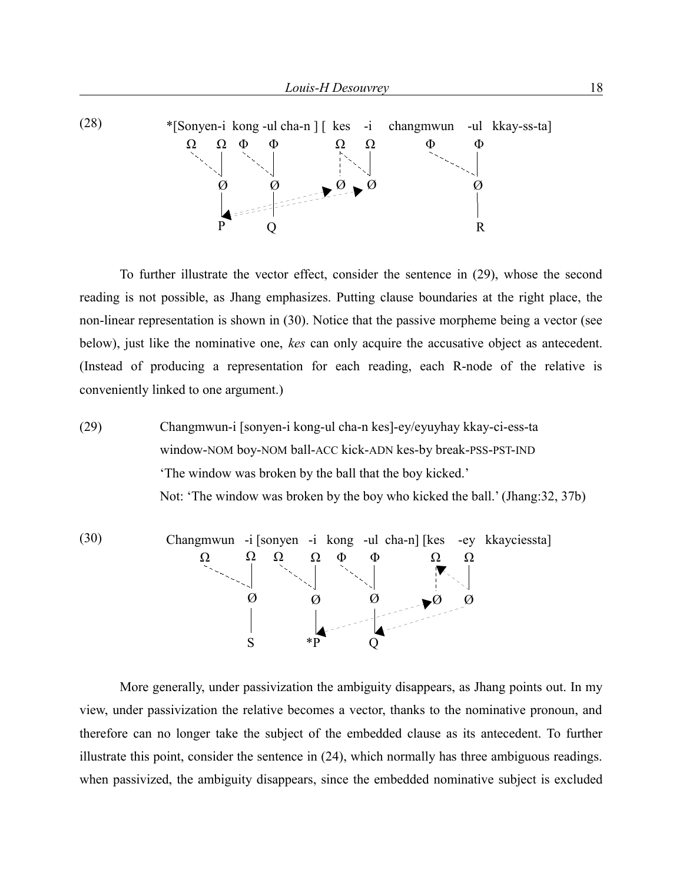

To further illustrate the vector effect, consider the sentence in (29), whose the second reading is not possible, as Jhang emphasizes. Putting clause boundaries at the right place, the non-linear representation is shown in (30). Notice that the passive morpheme being a vector (see below), just like the nominative one, *kes* can only acquire the accusative object as antecedent. (Instead of producing a representation for each reading, each R-node of the relative is conveniently linked to one argument.)

(29) Changmwun-i [sonyen-i kong-ul cha-n kes]-ey/eyuyhay kkay-ci-ess-ta window-NOM boy-NOM ball-ACC kick-ADN kes-by break-PSS-PST-IND 'The window was broken by the ball that the boy kicked.' Not: 'The window was broken by the boy who kicked the ball.' (Jhang:32, 37b)



More generally, under passivization the ambiguity disappears, as Jhang points out. In my view, under passivization the relative becomes a vector, thanks to the nominative pronoun, and therefore can no longer take the subject of the embedded clause as its antecedent. To further illustrate this point, consider the sentence in (24), which normally has three ambiguous readings. when passivized, the ambiguity disappears, since the embedded nominative subject is excluded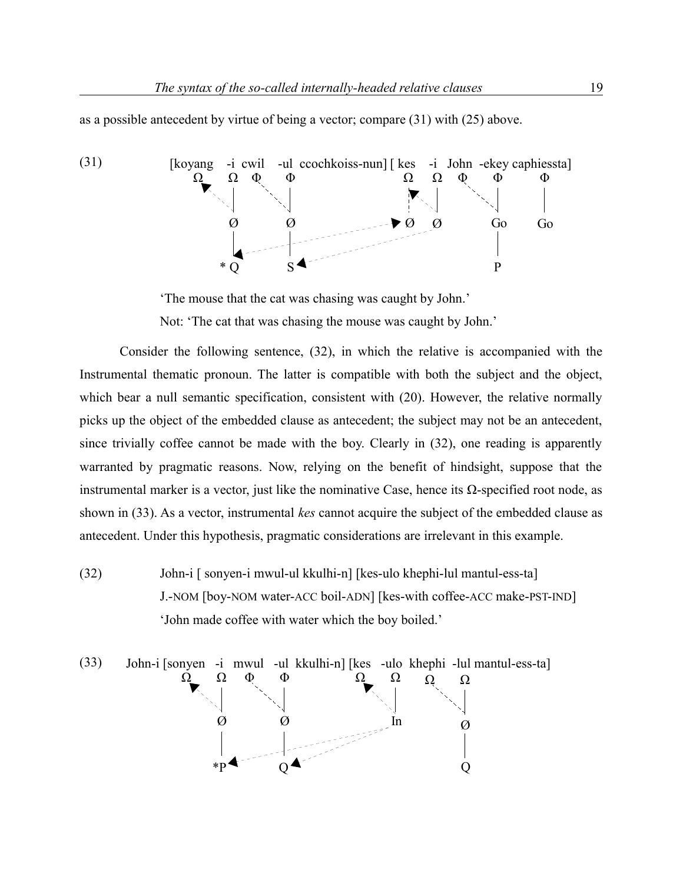as a possible antecedent by virtue of being a vector; compare (31) with (25) above.



'The mouse that the cat was chasing was caught by John.'

Not: 'The cat that was chasing the mouse was caught by John.'

Consider the following sentence, (32), in which the relative is accompanied with the Instrumental thematic pronoun. The latter is compatible with both the subject and the object, which bear a null semantic specification, consistent with (20). However, the relative normally picks up the object of the embedded clause as antecedent; the subject may not be an antecedent, since trivially coffee cannot be made with the boy. Clearly in (32), one reading is apparently warranted by pragmatic reasons. Now, relying on the benefit of hindsight, suppose that the instrumental marker is a vector, just like the nominative Case, hence its Ω-specified root node, as shown in (33). As a vector, instrumental *kes* cannot acquire the subject of the embedded clause as antecedent. Under this hypothesis, pragmatic considerations are irrelevant in this example.

(32) John-i [ sonyen-i mwul-ul kkulhi-n] [kes-ulo khephi-lul mantul-ess-ta] J.-NOM [boy-NOM water-ACC boil-ADN] [kes-with coffee-ACC make-PST-IND] 'John made coffee with water which the boy boiled.'

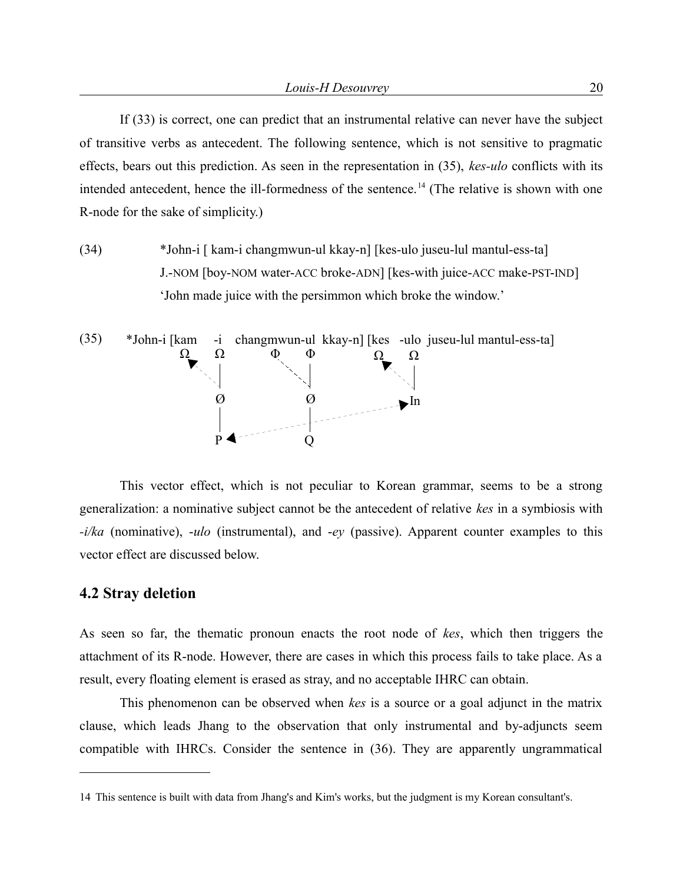If (33) is correct, one can predict that an instrumental relative can never have the subject of transitive verbs as antecedent. The following sentence, which is not sensitive to pragmatic effects, bears out this prediction. As seen in the representation in (35), *kes-ulo* conflicts with its intended antecedent, hence the ill-formedness of the sentence.<sup>[14](#page-19-0)</sup> (The relative is shown with one R-node for the sake of simplicity.)

(34) \*John-i [ kam-i changmwun-ul kkay-n] [kes-ulo juseu-lul mantul-ess-ta] J.-NOM [boy-NOM water-ACC broke-ADN] [kes-with juice-ACC make-PST-IND] 'John made juice with the persimmon which broke the window.'



This vector effect, which is not peculiar to Korean grammar, seems to be a strong generalization: a nominative subject cannot be the antecedent of relative *kes* in a symbiosis with *-i/ka* (nominative), -*ulo* (instrumental), and -*ey* (passive). Apparent counter examples to this vector effect are discussed below.

## **4.2 Stray deletion**

As seen so far, the thematic pronoun enacts the root node of *kes*, which then triggers the attachment of its R-node. However, there are cases in which this process fails to take place. As a result, every floating element is erased as stray, and no acceptable IHRC can obtain.

This phenomenon can be observed when *kes* is a source or a goal adjunct in the matrix clause, which leads Jhang to the observation that only instrumental and by-adjuncts seem compatible with IHRCs. Consider the sentence in (36). They are apparently ungrammatical

<span id="page-19-0"></span><sup>14</sup> This sentence is built with data from Jhang's and Kim's works, but the judgment is my Korean consultant's.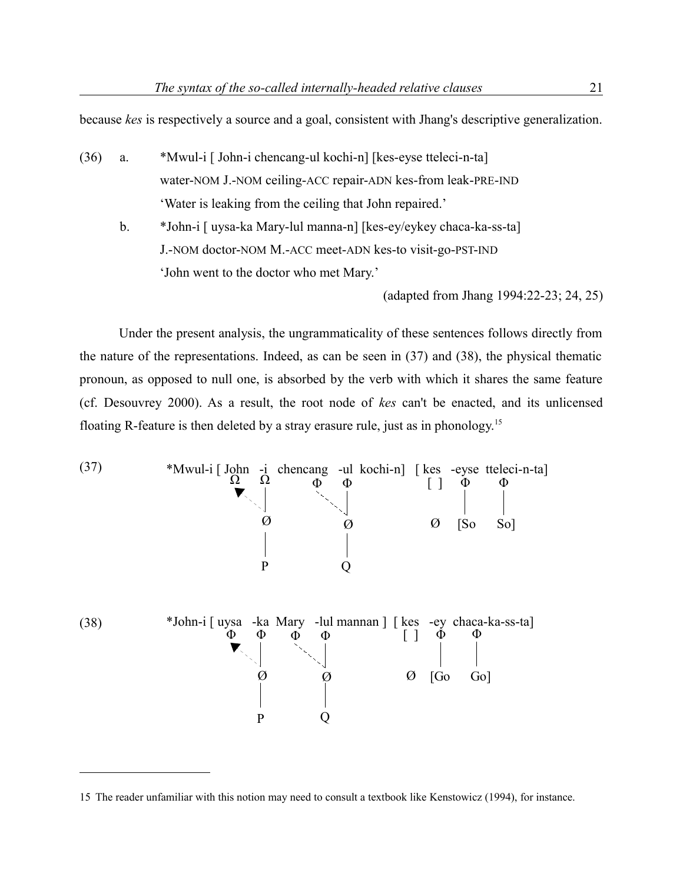because *kes* is respectively a source and a goal, consistent with Jhang's descriptive generalization.

- (36) a. \*Mwul-i [ John-i chencang-ul kochi-n] [kes-eyse tteleci-n-ta] water-NOM J.-NOM ceiling-ACC repair-ADN kes-from leak-PRE-IND 'Water is leaking from the ceiling that John repaired.'
	- b. \*John-i [ uysa-ka Mary-lul manna-n] [kes-ey/eykey chaca-ka-ss-ta] J.-NOM doctor-NOM M.-ACC meet-ADN kes-to visit-go-PST-IND 'John went to the doctor who met Mary.'

(adapted from Jhang 1994:22-23; 24, 25)

Under the present analysis, the ungrammaticality of these sentences follows directly from the nature of the representations. Indeed, as can be seen in (37) and (38), the physical thematic pronoun, as opposed to null one, is absorbed by the verb with which it shares the same feature (cf. Desouvrey 2000). As a result, the root node of *kes* can't be enacted, and its unlicensed floating R-feature is then deleted by a stray erasure rule, just as in phonology.[15](#page-20-0)



<span id="page-20-0"></span><sup>15</sup> The reader unfamiliar with this notion may need to consult a textbook like Kenstowicz (1994), for instance.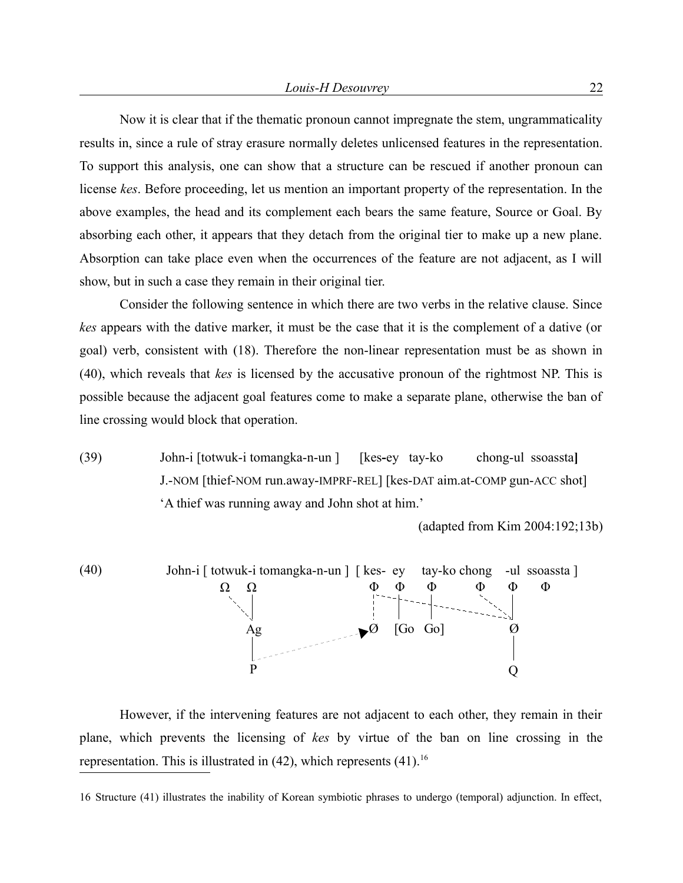Now it is clear that if the thematic pronoun cannot impregnate the stem, ungrammaticality results in, since a rule of stray erasure normally deletes unlicensed features in the representation. To support this analysis, one can show that a structure can be rescued if another pronoun can license *kes*. Before proceeding, let us mention an important property of the representation. In the above examples, the head and its complement each bears the same feature, Source or Goal. By absorbing each other, it appears that they detach from the original tier to make up a new plane. Absorption can take place even when the occurrences of the feature are not adjacent, as I will show, but in such a case they remain in their original tier.

Consider the following sentence in which there are two verbs in the relative clause. Since *kes* appears with the dative marker, it must be the case that it is the complement of a dative (or goal) verb, consistent with (18). Therefore the non-linear representation must be as shown in (40), which reveals that *kes* is licensed by the accusative pronoun of the rightmost NP. This is possible because the adjacent goal features come to make a separate plane, otherwise the ban of line crossing would block that operation.

(39) John-i [totwuk-i tomangka-n-un ] [kes**-**eytay-kochong-ul ssoassta**]** J.-NOM [thief-NOM run.away-IMPRF-REL] [kes-DAT aim.at-COMP gun-ACC shot] 'A thief was running away and John shot at him.'

(adapted from Kim 2004:192;13b)



However, if the intervening features are not adjacent to each other, they remain in their plane, which prevents the licensing of *kes* by virtue of the ban on line crossing in the representation. This is illustrated in  $(42)$ , which represents  $(41)$ .<sup>[16](#page-21-0)</sup>

<span id="page-21-0"></span><sup>16</sup> Structure (41) illustrates the inability of Korean symbiotic phrases to undergo (temporal) adjunction. In effect,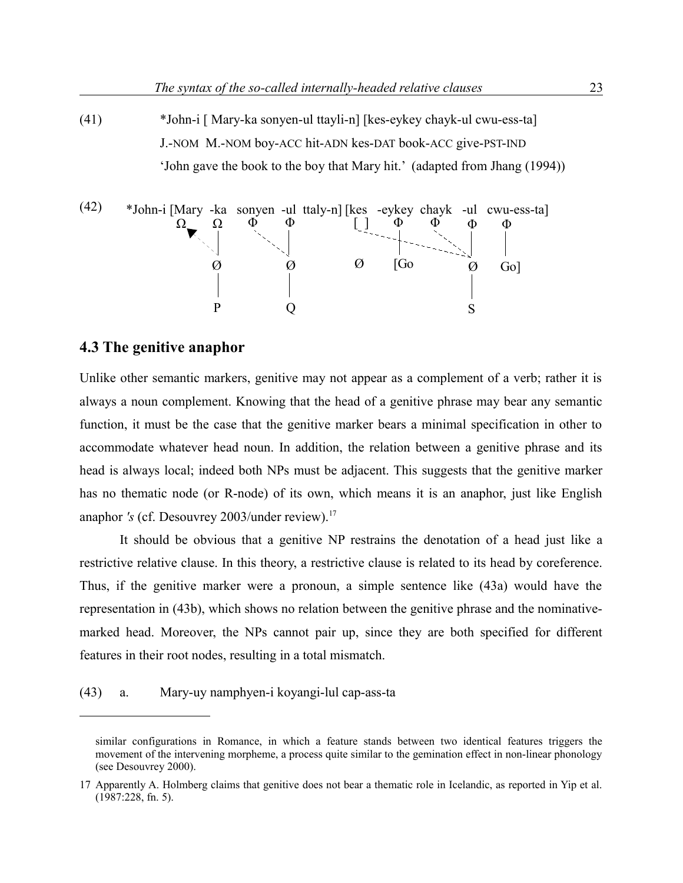(41) \*John-i [ Mary-ka sonyen-ul ttayli-n] [kes-eykey chayk-ul cwu-ess-ta] J.-NOM M.-NOM boy-ACC hit-ADN kes-DAT book-ACC give-PST-IND 'John gave the book to the boy that Mary hit.' (adapted from Jhang (1994))



# **4.3 The genitive anaphor**

Unlike other semantic markers, genitive may not appear as a complement of a verb; rather it is always a noun complement. Knowing that the head of a genitive phrase may bear any semantic function, it must be the case that the genitive marker bears a minimal specification in other to accommodate whatever head noun. In addition, the relation between a genitive phrase and its head is always local; indeed both NPs must be adjacent. This suggests that the genitive marker has no thematic node (or R-node) of its own, which means it is an anaphor, just like English anaphor *'s* (cf. Desouvrey 2003/under review).<sup>[17](#page-22-0)</sup>

It should be obvious that a genitive NP restrains the denotation of a head just like a restrictive relative clause. In this theory, a restrictive clause is related to its head by coreference. Thus, if the genitive marker were a pronoun, a simple sentence like (43a) would have the representation in (43b), which shows no relation between the genitive phrase and the nominativemarked head. Moreover, the NPs cannot pair up, since they are both specified for different features in their root nodes, resulting in a total mismatch.

(43) a. Mary-uy namphyen-i koyangi-lul cap-ass-ta

similar configurations in Romance, in which a feature stands between two identical features triggers the movement of the intervening morpheme, a process quite similar to the gemination effect in non-linear phonology (see Desouvrey 2000).

<span id="page-22-0"></span><sup>17</sup> Apparently A. Holmberg claims that genitive does not bear a thematic role in Icelandic, as reported in Yip et al. (1987:228, fn. 5).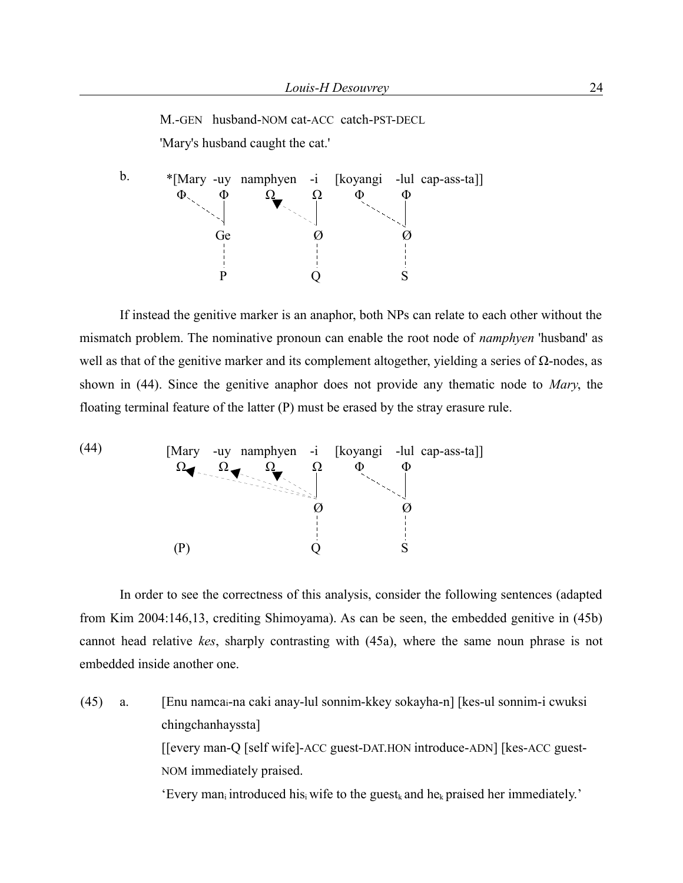M.-GEN husband-NOM cat-ACC catch-PST-DECL 'Mary's husband caught the cat.'

b. \*[Mary -uy namphyen -i [koyangi -lul cap-ass-ta]] Φ Φ  $\varnothing$ S  $\Phi$   $\Omega$   $\Omega$ Ge Ø P Q Φ

If instead the genitive marker is an anaphor, both NPs can relate to each other without the mismatch problem. The nominative pronoun can enable the root node of *namphyen* 'husband' as well as that of the genitive marker and its complement altogether, yielding a series of  $Ω$ -nodes, as shown in (44). Since the genitive anaphor does not provide any thematic node to *Mary*, the floating terminal feature of the latter (P) must be erased by the stray erasure rule.



In order to see the correctness of this analysis, consider the following sentences (adapted from Kim 2004:146,13, crediting Shimoyama). As can be seen, the embedded genitive in (45b) cannot head relative *kes*, sharply contrasting with (45a), where the same noun phrase is not embedded inside another one.

(45) a. [Enu namcai-na caki anay-lul sonnim-kkey sokayha-n] [kes-ul sonnim-i cwuksi chingchanhayssta] [[every man-Q [self wife]-ACC guest-DAT.HON introduce-ADN] [kes-ACC guest-NOM immediately praised. 'Every man<sub>i</sub> introduced his<sub>i</sub> wife to the guest<sub>k</sub> and he<sub>k</sub> praised her immediately.'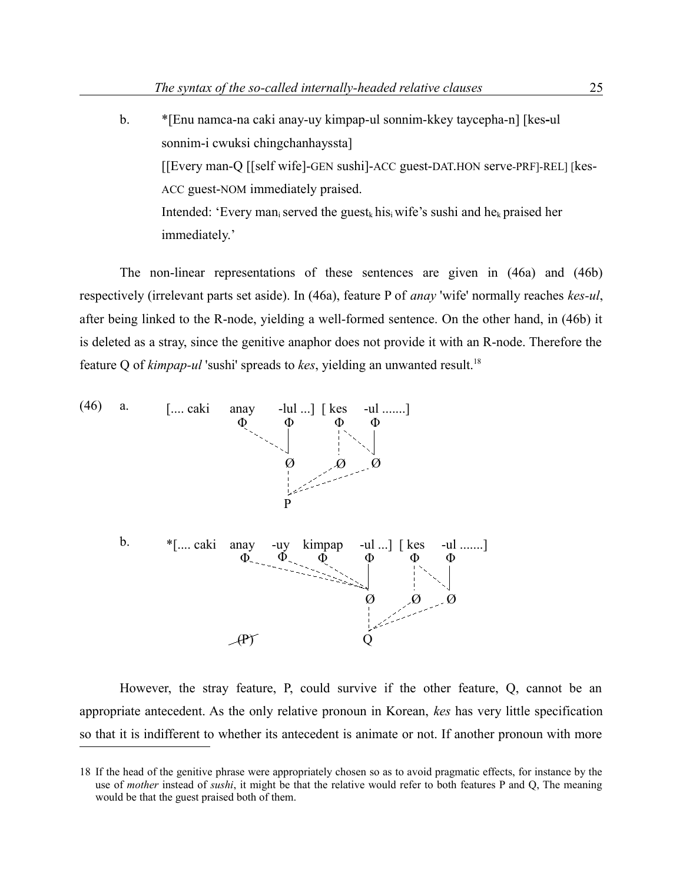b. \*[Enu namca-na caki anay-uy kimpap-ul sonnim-kkey taycepha-n] [kes**-**ul sonnim-i cwuksi chingchanhayssta] [[Every man-Q [[self wife]-GEN sushi]-ACC guest-DAT.HON serve-PRF]-REL] [kes-ACC guest-NOM immediately praised. Intended: 'Every man<sub>i</sub> served the guest<sub>k</sub> his<sub>i</sub> wife's sushi and he<sub>k</sub> praised her immediately.'

The non-linear representations of these sentences are given in (46a) and (46b) respectively (irrelevant parts set aside). In (46a), feature P of *anay* 'wife' normally reaches *kes-ul*, after being linked to the R-node, yielding a well-formed sentence. On the other hand, in (46b) it is deleted as a stray, since the genitive anaphor does not provide it with an R-node. Therefore the feature Q of *kimpap-ul* 'sushi' spreads to *kes*, yielding an unwanted result.<sup>[18](#page-24-0)</sup>



However, the stray feature, P, could survive if the other feature, Q, cannot be an appropriate antecedent. As the only relative pronoun in Korean, *kes* has very little specification so that it is indifferent to whether its antecedent is animate or not. If another pronoun with more

<span id="page-24-0"></span><sup>18</sup> If the head of the genitive phrase were appropriately chosen so as to avoid pragmatic effects, for instance by the use of *mother* instead of *sushi*, it might be that the relative would refer to both features P and Q, The meaning would be that the guest praised both of them.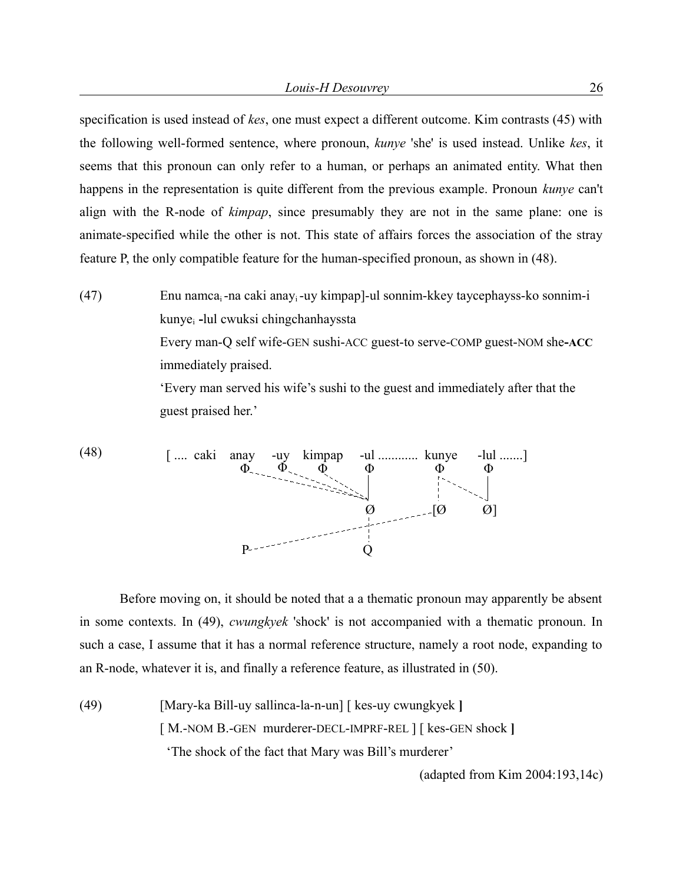specification is used instead of *kes*, one must expect a different outcome. Kim contrasts (45) with the following well-formed sentence, where pronoun, *kunye* 'she' is used instead. Unlike *kes*, it seems that this pronoun can only refer to a human, or perhaps an animated entity. What then happens in the representation is quite different from the previous example. Pronoun *kunye* can't align with the R-node of *kimpap*, since presumably they are not in the same plane: one is animate-specified while the other is not. This state of affairs forces the association of the stray feature P, the only compatible feature for the human-specified pronoun, as shown in (48).

(47) Enu namca<sub>i</sub>-na caki anay<sub>i</sub>-uy kimpap]-ul sonnim-kkey taycephayss-ko sonnim-i kunye<sup>i</sup> **-**lul cwuksi chingchanhayssta Every man-Q self wife-GEN sushi-ACC guest-to serve-COMP guest-NOM she**-ACC** immediately praised. 'Every man served his wife's sushi to the guest and immediately after that the guest praised her.'

(48) 
$$
\begin{bmatrix} \dots \text{caki} & \text{anay} & -\text{uy} & \text{kimpap} & -\text{ul} & \dots \text{u} \\ \Phi & \Phi & \Phi & \Phi & \Phi \\ \vdots & \vdots & \ddots & \vdots & \vdots \\ \hline \Phi & \text{Q} & \text{Q} & \text{Q} \end{bmatrix}
$$

Before moving on, it should be noted that a a thematic pronoun may apparently be absent in some contexts. In (49), *cwungkyek* 'shock' is not accompanied with a thematic pronoun. In such a case, I assume that it has a normal reference structure, namely a root node, expanding to an R-node, whatever it is, and finally a reference feature, as illustrated in (50).

(49) [Mary-ka Bill-uy sallinca-la-n-un] [ kes-uy cwungkyek **]** [ M.-NOM B.-GEN murderer-DECL-IMPRF-REL ] [ kes-GEN shock **]** 'The shock of the fact that Mary was Bill's murderer'

(adapted from Kim 2004:193,14c)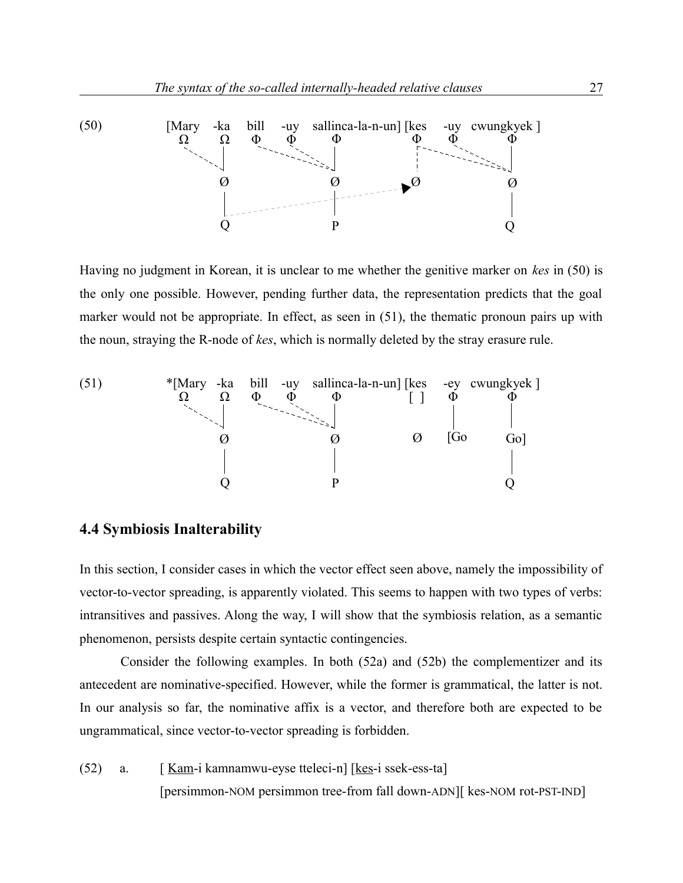

Having no judgment in Korean, it is unclear to me whether the genitive marker on *kes* in (50) is the only one possible. However, pending further data, the representation predicts that the goal marker would not be appropriate. In effect, as seen in (51), the thematic pronoun pairs up with the noun, straying the R-node of *kes*, which is normally deleted by the stray erasure rule.



# **4.4 Symbiosis Inalterability**

In this section, I consider cases in which the vector effect seen above, namely the impossibility of vector-to-vector spreading, is apparently violated. This seems to happen with two types of verbs: intransitives and passives. Along the way, I will show that the symbiosis relation, as a semantic phenomenon, persists despite certain syntactic contingencies.

Consider the following examples. In both (52a) and (52b) the complementizer and its antecedent are nominative-specified. However, while the former is grammatical, the latter is not. In our analysis so far, the nominative affix is a vector, and therefore both are expected to be ungrammatical, since vector-to-vector spreading is forbidden.

(52) a.  $\left[ \frac{Kam}{i} \right]$  kamnamwu-eyse tteleci-n $\left[ \frac{kes}{i} \right]$  ssek-ess-ta [persimmon-NOM persimmon tree-from fall down-ADN][ kes-NOM rot-PST-IND]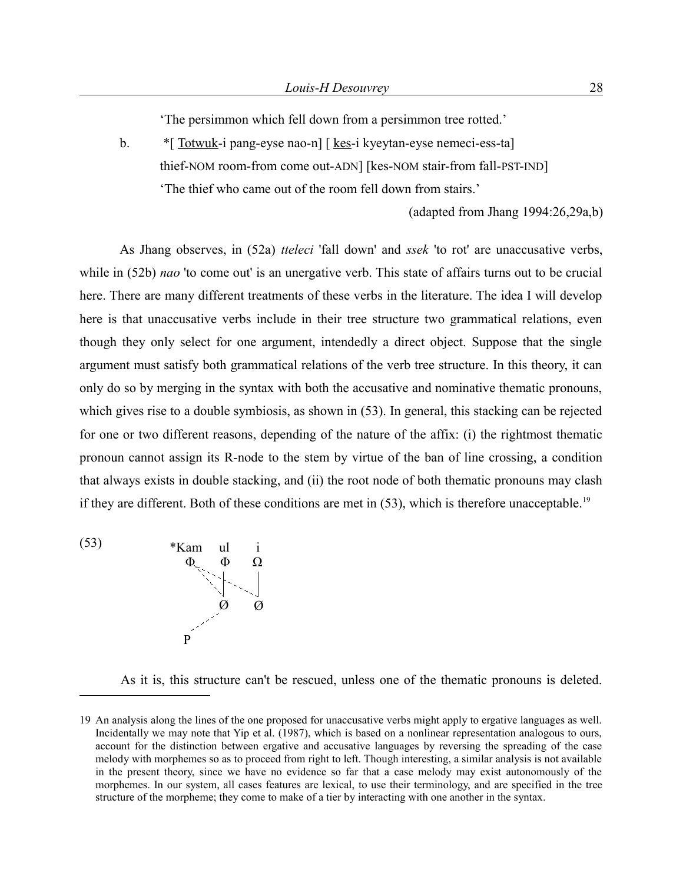'The persimmon which fell down from a persimmon tree rotted.'

b.  $*$ [ Totwuk-i pang-eyse nao-n] [ kes-i kyeytan-eyse nemeci-ess-ta] thief-NOM room-from come out-ADN] [kes-NOM stair-from fall-PST-IND] 'The thief who came out of the room fell down from stairs.'

(adapted from Jhang 1994:26,29a,b)

As Jhang observes, in (52a) *tteleci* 'fall down' and *ssek* 'to rot' are unaccusative verbs, while in (52b) *nao* 'to come out' is an unergative verb. This state of affairs turns out to be crucial here. There are many different treatments of these verbs in the literature. The idea I will develop here is that unaccusative verbs include in their tree structure two grammatical relations, even though they only select for one argument, intendedly a direct object. Suppose that the single argument must satisfy both grammatical relations of the verb tree structure. In this theory, it can only do so by merging in the syntax with both the accusative and nominative thematic pronouns, which gives rise to a double symbiosis, as shown in (53). In general, this stacking can be rejected for one or two different reasons, depending of the nature of the affix: (i) the rightmost thematic pronoun cannot assign its R-node to the stem by virtue of the ban of line crossing, a condition that always exists in double stacking, and (ii) the root node of both thematic pronouns may clash if they are different. Both of these conditions are met in  $(53)$ , which is therefore unacceptable.<sup>[19](#page-27-0)</sup>

 $(*Kam \text{ul } i)$  $\varnothing$ Ω P  $\varnothing$ Φ Φ

As it is, this structure can't be rescued, unless one of the thematic pronouns is deleted.

<span id="page-27-0"></span><sup>19</sup> An analysis along the lines of the one proposed for unaccusative verbs might apply to ergative languages as well. Incidentally we may note that Yip et al. (1987), which is based on a nonlinear representation analogous to ours, account for the distinction between ergative and accusative languages by reversing the spreading of the case melody with morphemes so as to proceed from right to left. Though interesting, a similar analysis is not available in the present theory, since we have no evidence so far that a case melody may exist autonomously of the morphemes. In our system, all cases features are lexical, to use their terminology, and are specified in the tree structure of the morpheme; they come to make of a tier by interacting with one another in the syntax.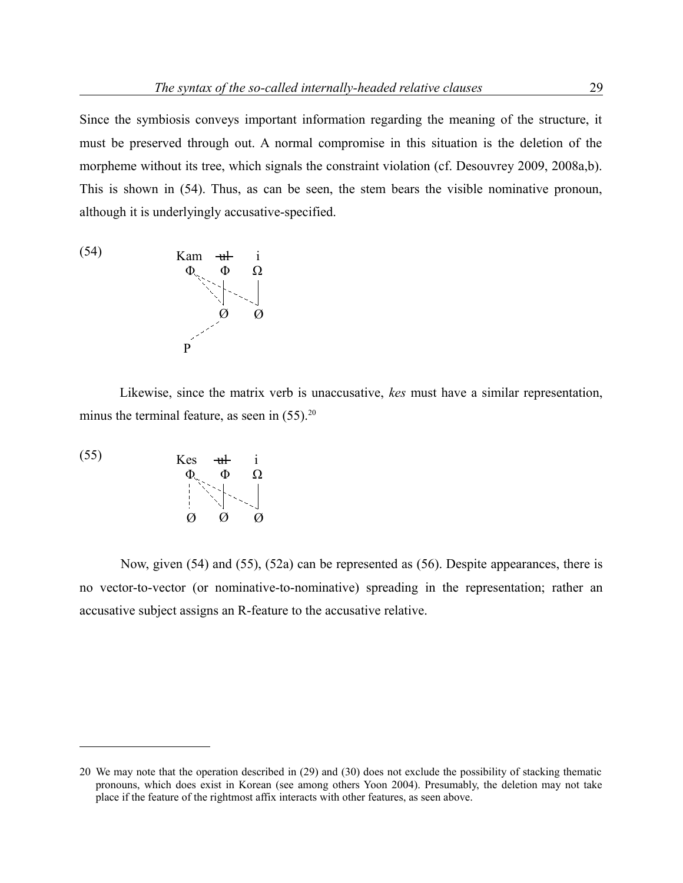Since the symbiosis conveys important information regarding the meaning of the structure, it must be preserved through out. A normal compromise in this situation is the deletion of the morpheme without its tree, which signals the constraint violation (cf. Desouvrey 2009, 2008a,b). This is shown in (54). Thus, as can be seen, the stem bears the visible nominative pronoun, although it is underlyingly accusative-specified.



Likewise, since the matrix verb is unaccusative, *kes* must have a similar representation, minus the terminal feature, as seen in  $(55)$ .<sup>[20](#page-28-0)</sup>



Now, given (54) and (55), (52a) can be represented as (56). Despite appearances, there is no vector-to-vector (or nominative-to-nominative) spreading in the representation; rather an accusative subject assigns an R-feature to the accusative relative.

<span id="page-28-0"></span><sup>20</sup> We may note that the operation described in (29) and (30) does not exclude the possibility of stacking thematic pronouns, which does exist in Korean (see among others Yoon 2004). Presumably, the deletion may not take place if the feature of the rightmost affix interacts with other features, as seen above.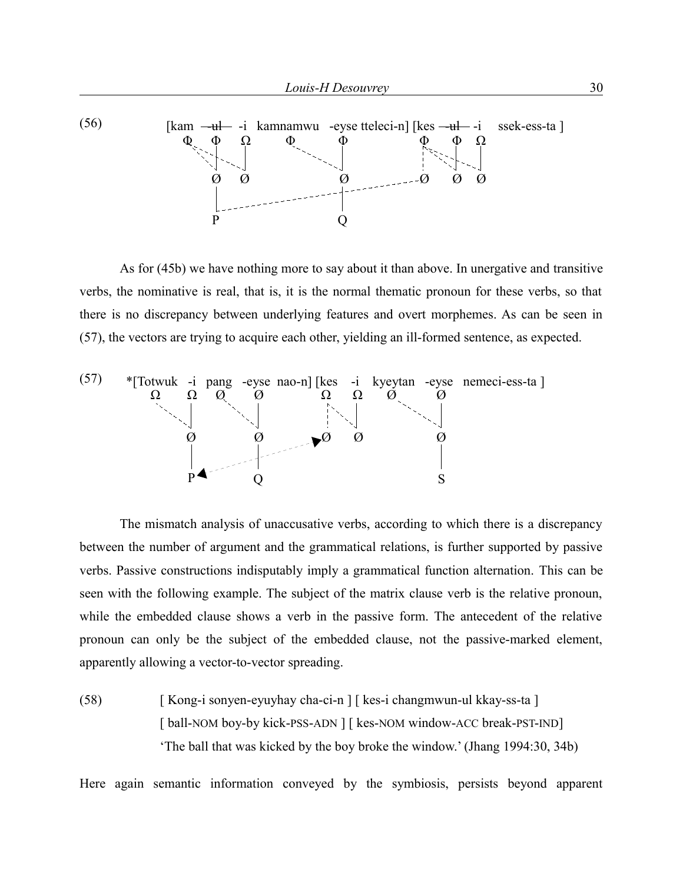

As for (45b) we have nothing more to say about it than above. In unergative and transitive verbs, the nominative is real, that is, it is the normal thematic pronoun for these verbs, so that there is no discrepancy between underlying features and overt morphemes. As can be seen in (57), the vectors are trying to acquire each other, yielding an ill-formed sentence, as expected.



The mismatch analysis of unaccusative verbs, according to which there is a discrepancy between the number of argument and the grammatical relations, is further supported by passive verbs. Passive constructions indisputably imply a grammatical function alternation. This can be seen with the following example. The subject of the matrix clause verb is the relative pronoun, while the embedded clause shows a verb in the passive form. The antecedent of the relative pronoun can only be the subject of the embedded clause, not the passive-marked element, apparently allowing a vector-to-vector spreading.

(58) [ Kong-i sonyen-eyuyhay cha-ci-n ] [ kes-i changmwun-ul kkay-ss-ta ] [ ball-NOM boy-by kick-PSS-ADN ] [ kes-NOM window-ACC break-PST-IND] 'The ball that was kicked by the boy broke the window.' (Jhang 1994:30, 34b)

Here again semantic information conveyed by the symbiosis, persists beyond apparent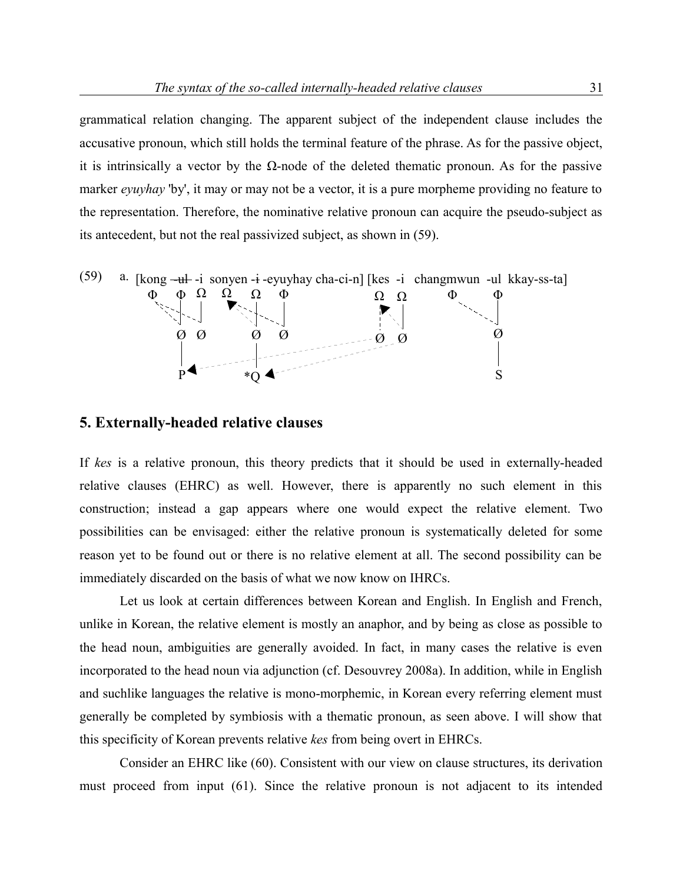grammatical relation changing. The apparent subject of the independent clause includes the accusative pronoun, which still holds the terminal feature of the phrase. As for the passive object, it is intrinsically a vector by the  $\Omega$ -node of the deleted thematic pronoun. As for the passive marker *eyuyhay* 'by', it may or may not be a vector, it is a pure morpheme providing no feature to the representation. Therefore, the nominative relative pronoun can acquire the pseudo-subject as its antecedent, but not the real passivized subject, as shown in (59).



#### **5. Externally-headed relative clauses**

If *kes* is a relative pronoun, this theory predicts that it should be used in externally-headed relative clauses (EHRC) as well. However, there is apparently no such element in this construction; instead a gap appears where one would expect the relative element. Two possibilities can be envisaged: either the relative pronoun is systematically deleted for some reason yet to be found out or there is no relative element at all. The second possibility can be immediately discarded on the basis of what we now know on IHRCs.

Let us look at certain differences between Korean and English. In English and French, unlike in Korean, the relative element is mostly an anaphor, and by being as close as possible to the head noun, ambiguities are generally avoided. In fact, in many cases the relative is even incorporated to the head noun via adjunction (cf. Desouvrey 2008a). In addition, while in English and suchlike languages the relative is mono-morphemic, in Korean every referring element must generally be completed by symbiosis with a thematic pronoun, as seen above. I will show that this specificity of Korean prevents relative *kes* from being overt in EHRCs.

Consider an EHRC like (60). Consistent with our view on clause structures, its derivation must proceed from input (61). Since the relative pronoun is not adjacent to its intended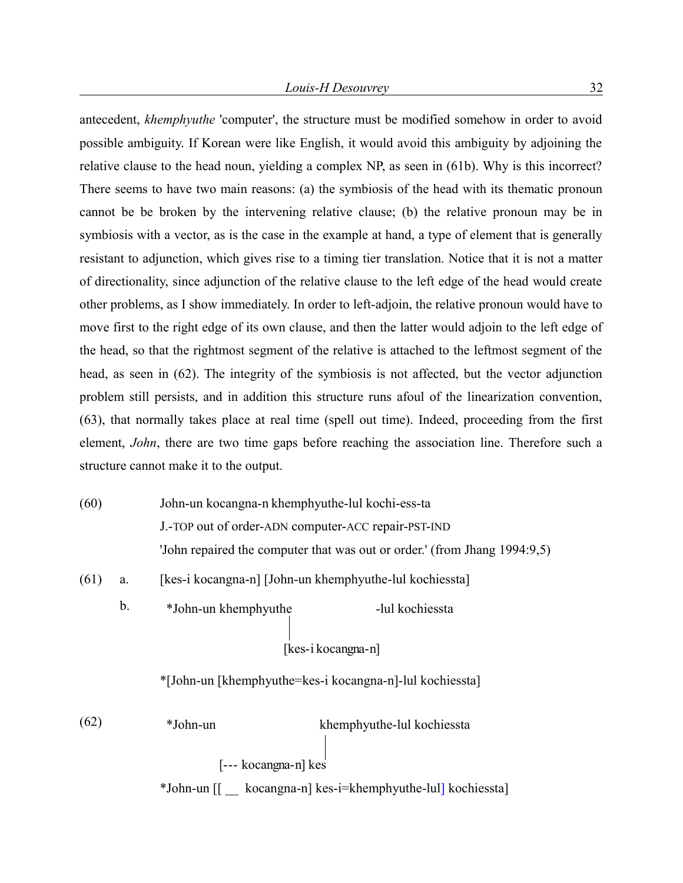antecedent, *khemphyuthe* 'computer', the structure must be modified somehow in order to avoid possible ambiguity. If Korean were like English, it would avoid this ambiguity by adjoining the relative clause to the head noun, yielding a complex NP, as seen in (61b). Why is this incorrect? There seems to have two main reasons: (a) the symbiosis of the head with its thematic pronoun cannot be be broken by the intervening relative clause; (b) the relative pronoun may be in symbiosis with a vector, as is the case in the example at hand, a type of element that is generally resistant to adjunction, which gives rise to a timing tier translation. Notice that it is not a matter of directionality, since adjunction of the relative clause to the left edge of the head would create other problems, as I show immediately. In order to left-adjoin, the relative pronoun would have to move first to the right edge of its own clause, and then the latter would adjoin to the left edge of the head, so that the rightmost segment of the relative is attached to the leftmost segment of the head, as seen in (62). The integrity of the symbiosis is not affected, but the vector adjunction problem still persists, and in addition this structure runs afoul of the linearization convention, (63), that normally takes place at real time (spell out time). Indeed, proceeding from the first element, *John*, there are two time gaps before reaching the association line. Therefore such a structure cannot make it to the output.

- (60) John-un kocangna-n khemphyuthe-lul kochi-ess-ta J.-TOP out of order-ADN computer-ACC repair-PST-IND 'John repaired the computer that was out or order.' (from Jhang 1994:9,5)
- (61) a. [kes-i kocangna-n] [John-un khemphyuthe-lul kochiessta]
	- b.  $*$ John-un khemphyuthe -lul kochiessta

\*[John-un [khemphyuthe=kes-i kocangna-n]-lul kochiessta]

[kes-i kocangna-n]

(62) \*John-un khemphyuthe-lul kochiessta \*John-un [[ \_\_ kocangna-n] kes-i=khemphyuthe-lul] kochiessta] [--- kocangna-n] kes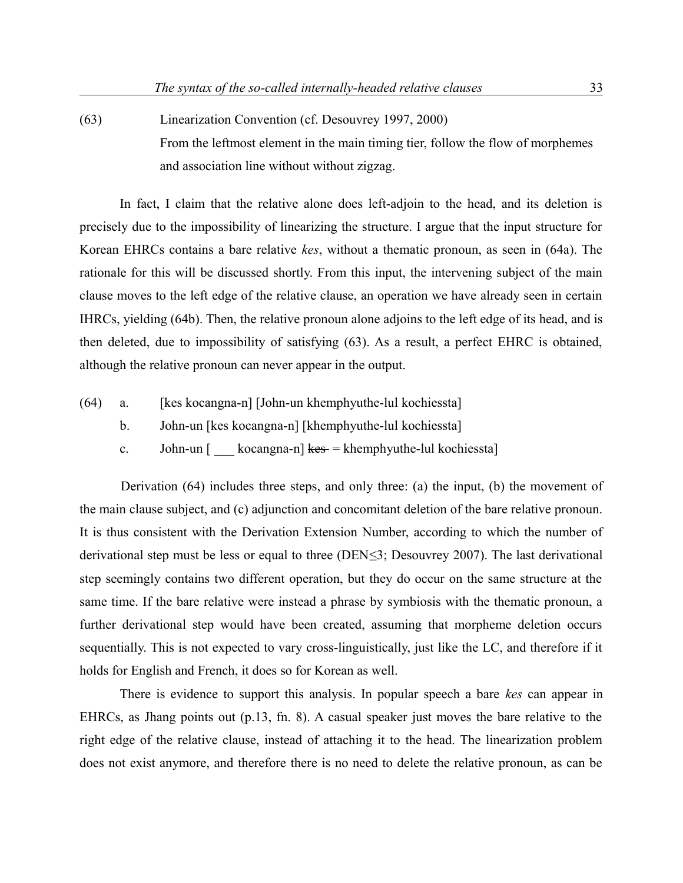(63) Linearization Convention (cf. Desouvrey 1997, 2000) From the leftmost element in the main timing tier, follow the flow of morphemes and association line without without zigzag.

In fact, I claim that the relative alone does left-adjoin to the head, and its deletion is precisely due to the impossibility of linearizing the structure. I argue that the input structure for Korean EHRCs contains a bare relative *kes*, without a thematic pronoun, as seen in (64a). The rationale for this will be discussed shortly. From this input, the intervening subject of the main clause moves to the left edge of the relative clause, an operation we have already seen in certain IHRCs, yielding (64b). Then, the relative pronoun alone adjoins to the left edge of its head, and is then deleted, due to impossibility of satisfying (63). As a result, a perfect EHRC is obtained, although the relative pronoun can never appear in the output.

- (64) a. [kes kocangna-n] [John-un khemphyuthe-lul kochiessta]
	- b. John-un [kes kocangna-n] [khemphyuthe-lul kochiessta]
	- c. John-un  $\lceil$  kocangna-n $\lceil$  kes = khemphyuthe-lul kochiessta]

Derivation (64) includes three steps, and only three: (a) the input, (b) the movement of the main clause subject, and (c) adjunction and concomitant deletion of the bare relative pronoun. It is thus consistent with the Derivation Extension Number, according to which the number of derivational step must be less or equal to three (DEN≤3; Desouvrey 2007). The last derivational step seemingly contains two different operation, but they do occur on the same structure at the same time. If the bare relative were instead a phrase by symbiosis with the thematic pronoun, a further derivational step would have been created, assuming that morpheme deletion occurs sequentially. This is not expected to vary cross-linguistically, just like the LC, and therefore if it holds for English and French, it does so for Korean as well.

There is evidence to support this analysis. In popular speech a bare *kes* can appear in EHRCs, as Jhang points out (p.13, fn. 8). A casual speaker just moves the bare relative to the right edge of the relative clause, instead of attaching it to the head. The linearization problem does not exist anymore, and therefore there is no need to delete the relative pronoun, as can be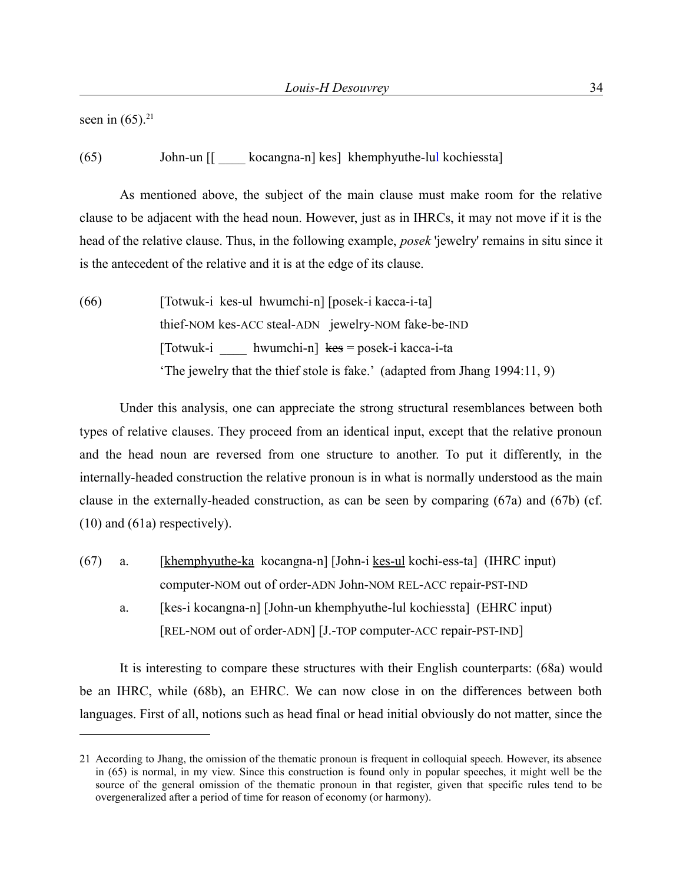seen in  $(65)$ .<sup>[21](#page-33-0)</sup>

(65) John-un [[ \_\_\_\_ kocangna-n] kes] khemphyuthe-lul kochiessta]

As mentioned above, the subject of the main clause must make room for the relative clause to be adjacent with the head noun. However, just as in IHRCs, it may not move if it is the head of the relative clause. Thus, in the following example, *posek* 'jewelry' remains in situ since it is the antecedent of the relative and it is at the edge of its clause.

(66) [Totwuk-i kes-ul hwumchi-n] [posek-i kacca-i-ta] thief-NOM kes-ACC steal-ADN jewelry-NOM fake-be-IND [Totwuk-i hwumchi-n] kes = posek-i kacca-i-ta 'The jewelry that the thief stole is fake.' (adapted from Jhang 1994:11, 9)

Under this analysis, one can appreciate the strong structural resemblances between both types of relative clauses. They proceed from an identical input, except that the relative pronoun and the head noun are reversed from one structure to another. To put it differently, in the internally-headed construction the relative pronoun is in what is normally understood as the main clause in the externally-headed construction, as can be seen by comparing (67a) and (67b) (cf. (10) and (61a) respectively).

- (67) a. [khemphyuthe-ka kocangna-n] [John-i kes-ul kochi-ess-ta] (IHRC input) computer-NOM out of order-ADN John-NOM REL-ACC repair-PST-IND
	- a. [kes-i kocangna-n] [John-un khemphyuthe-lul kochiessta] (EHRC input) [REL-NOM out of order-ADN] [J.-TOP computer-ACC repair-PST-IND]

It is interesting to compare these structures with their English counterparts: (68a) would be an IHRC, while (68b), an EHRC. We can now close in on the differences between both languages. First of all, notions such as head final or head initial obviously do not matter, since the

<span id="page-33-0"></span><sup>21</sup> According to Jhang, the omission of the thematic pronoun is frequent in colloquial speech. However, its absence in (65) is normal, in my view. Since this construction is found only in popular speeches, it might well be the source of the general omission of the thematic pronoun in that register, given that specific rules tend to be overgeneralized after a period of time for reason of economy (or harmony).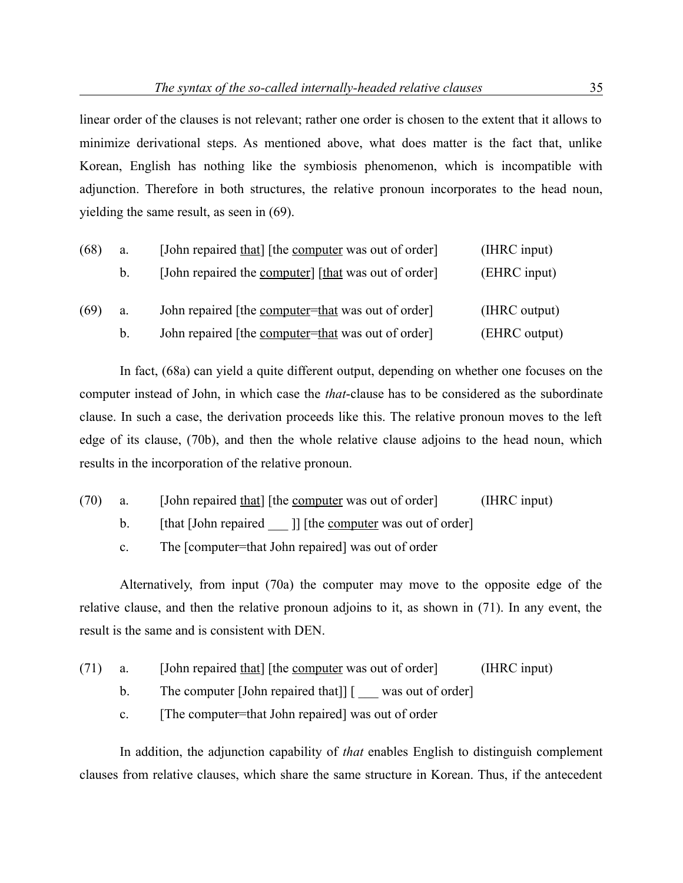linear order of the clauses is not relevant; rather one order is chosen to the extent that it allows to minimize derivational steps. As mentioned above, what does matter is the fact that, unlike Korean, English has nothing like the symbiosis phenomenon, which is incompatible with adjunction. Therefore in both structures, the relative pronoun incorporates to the head noun, yielding the same result, as seen in (69).

| (68)<br>a. |         | [John repaired that] [the computer was out of order]         | (IHRC input)  |
|------------|---------|--------------------------------------------------------------|---------------|
|            | $b_{-}$ | [John repaired the <u>computer</u> ] [that was out of order] | (EHRC input)  |
| (69)       | a.      | John repaired [the <u>computer=that</u> was out of order]    | (IHRC output) |
|            | $b_{-}$ | John repaired [the <u>computer=that</u> was out of order]    | (EHRC output) |

In fact, (68a) can yield a quite different output, depending on whether one focuses on the computer instead of John, in which case the *that*-clause has to be considered as the subordinate clause. In such a case, the derivation proceeds like this. The relative pronoun moves to the left edge of its clause, (70b), and then the whole relative clause adjoins to the head noun, which results in the incorporation of the relative pronoun.

- (70) a. [John repaired that] [the computer was out of order] (IHRC input)
	- b. [that [John repaired \_\_\_ ]] [the computer was out of order]

c. The [computer=that John repaired] was out of order

Alternatively, from input (70a) the computer may move to the opposite edge of the relative clause, and then the relative pronoun adjoins to it, as shown in (71). In any event, the result is the same and is consistent with DEN.

- (71) a. [John repaired that] [the computer was out of order] (IHRC input)
	- b. The computer [John repaired that]] [ \_\_\_ was out of order]
	- c. [The computer=that John repaired] was out of order

In addition, the adjunction capability of *that* enables English to distinguish complement clauses from relative clauses, which share the same structure in Korean. Thus, if the antecedent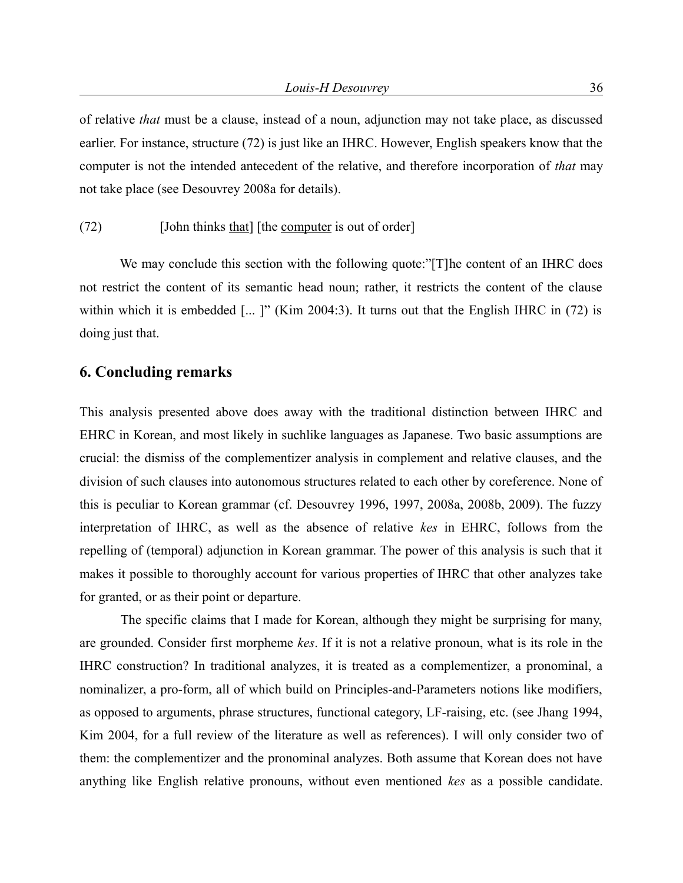of relative *that* must be a clause, instead of a noun, adjunction may not take place, as discussed earlier. For instance, structure (72) is just like an IHRC. However, English speakers know that the computer is not the intended antecedent of the relative, and therefore incorporation of *that* may not take place (see Desouvrey 2008a for details).

#### (72) [John thinks that] [the computer is out of order]

We may conclude this section with the following quote:"[T]he content of an IHRC does not restrict the content of its semantic head noun; rather, it restricts the content of the clause within which it is embedded [... ]" (Kim 2004:3). It turns out that the English IHRC in (72) is doing just that.

## **6. Concluding remarks**

This analysis presented above does away with the traditional distinction between IHRC and EHRC in Korean, and most likely in suchlike languages as Japanese. Two basic assumptions are crucial: the dismiss of the complementizer analysis in complement and relative clauses, and the division of such clauses into autonomous structures related to each other by coreference. None of this is peculiar to Korean grammar (cf. Desouvrey 1996, 1997, 2008a, 2008b, 2009). The fuzzy interpretation of IHRC, as well as the absence of relative *kes* in EHRC, follows from the repelling of (temporal) adjunction in Korean grammar. The power of this analysis is such that it makes it possible to thoroughly account for various properties of IHRC that other analyzes take for granted, or as their point or departure.

The specific claims that I made for Korean, although they might be surprising for many, are grounded. Consider first morpheme *kes*. If it is not a relative pronoun, what is its role in the IHRC construction? In traditional analyzes, it is treated as a complementizer, a pronominal, a nominalizer, a pro-form, all of which build on Principles-and-Parameters notions like modifiers, as opposed to arguments, phrase structures, functional category, LF-raising, etc. (see Jhang 1994, Kim 2004, for a full review of the literature as well as references). I will only consider two of them: the complementizer and the pronominal analyzes. Both assume that Korean does not have anything like English relative pronouns, without even mentioned *kes* as a possible candidate.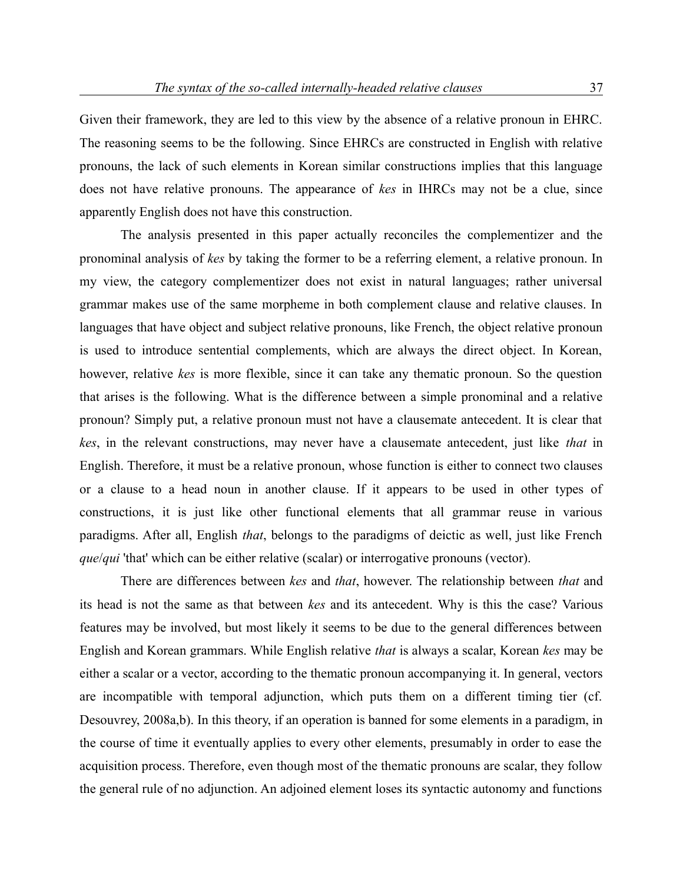Given their framework, they are led to this view by the absence of a relative pronoun in EHRC. The reasoning seems to be the following. Since EHRCs are constructed in English with relative pronouns, the lack of such elements in Korean similar constructions implies that this language does not have relative pronouns. The appearance of *kes* in IHRCs may not be a clue, since apparently English does not have this construction.

The analysis presented in this paper actually reconciles the complementizer and the pronominal analysis of *kes* by taking the former to be a referring element, a relative pronoun. In my view, the category complementizer does not exist in natural languages; rather universal grammar makes use of the same morpheme in both complement clause and relative clauses. In languages that have object and subject relative pronouns, like French, the object relative pronoun is used to introduce sentential complements, which are always the direct object. In Korean, however, relative *kes* is more flexible, since it can take any thematic pronoun. So the question that arises is the following. What is the difference between a simple pronominal and a relative pronoun? Simply put, a relative pronoun must not have a clausemate antecedent. It is clear that *kes*, in the relevant constructions, may never have a clausemate antecedent, just like *that* in English. Therefore, it must be a relative pronoun, whose function is either to connect two clauses or a clause to a head noun in another clause. If it appears to be used in other types of constructions, it is just like other functional elements that all grammar reuse in various paradigms. After all, English *that*, belongs to the paradigms of deictic as well, just like French *que*/*qui* 'that' which can be either relative (scalar) or interrogative pronouns (vector).

There are differences between *kes* and *that*, however. The relationship between *that* and its head is not the same as that between *kes* and its antecedent. Why is this the case? Various features may be involved, but most likely it seems to be due to the general differences between English and Korean grammars. While English relative *that* is always a scalar, Korean *kes* may be either a scalar or a vector, according to the thematic pronoun accompanying it. In general, vectors are incompatible with temporal adjunction, which puts them on a different timing tier (cf. Desouvrey, 2008a,b). In this theory, if an operation is banned for some elements in a paradigm, in the course of time it eventually applies to every other elements, presumably in order to ease the acquisition process. Therefore, even though most of the thematic pronouns are scalar, they follow the general rule of no adjunction. An adjoined element loses its syntactic autonomy and functions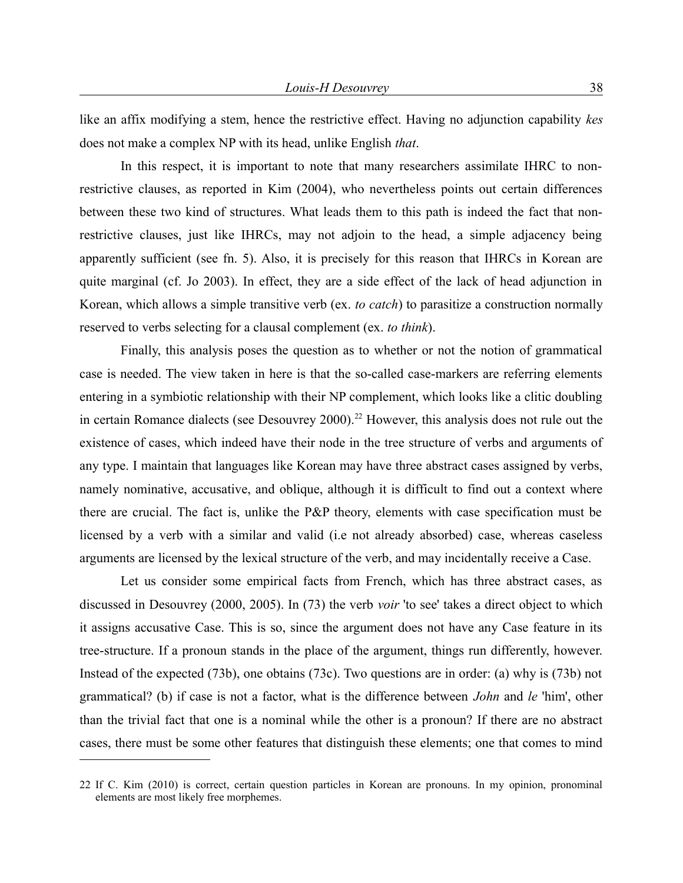like an affix modifying a stem, hence the restrictive effect. Having no adjunction capability *kes* does not make a complex NP with its head, unlike English *that*.

In this respect, it is important to note that many researchers assimilate IHRC to nonrestrictive clauses, as reported in Kim (2004), who nevertheless points out certain differences between these two kind of structures. What leads them to this path is indeed the fact that nonrestrictive clauses, just like IHRCs, may not adjoin to the head, a simple adjacency being apparently sufficient (see fn. 5). Also, it is precisely for this reason that IHRCs in Korean are quite marginal (cf. Jo 2003). In effect, they are a side effect of the lack of head adjunction in Korean, which allows a simple transitive verb (ex. *to catch*) to parasitize a construction normally reserved to verbs selecting for a clausal complement (ex. *to think*).

Finally, this analysis poses the question as to whether or not the notion of grammatical case is needed. The view taken in here is that the so-called case-markers are referring elements entering in a symbiotic relationship with their NP complement, which looks like a clitic doubling in certain Romance dialects (see Desouvrey 2000).<sup>[22](#page-37-0)</sup> However, this analysis does not rule out the existence of cases, which indeed have their node in the tree structure of verbs and arguments of any type. I maintain that languages like Korean may have three abstract cases assigned by verbs, namely nominative, accusative, and oblique, although it is difficult to find out a context where there are crucial. The fact is, unlike the P&P theory, elements with case specification must be licensed by a verb with a similar and valid (i.e not already absorbed) case, whereas caseless arguments are licensed by the lexical structure of the verb, and may incidentally receive a Case.

Let us consider some empirical facts from French, which has three abstract cases, as discussed in Desouvrey (2000, 2005). In (73) the verb *voir* 'to see' takes a direct object to which it assigns accusative Case. This is so, since the argument does not have any Case feature in its tree-structure. If a pronoun stands in the place of the argument, things run differently, however. Instead of the expected (73b), one obtains (73c). Two questions are in order: (a) why is (73b) not grammatical? (b) if case is not a factor, what is the difference between *John* and *le* 'him', other than the trivial fact that one is a nominal while the other is a pronoun? If there are no abstract cases, there must be some other features that distinguish these elements; one that comes to mind

<span id="page-37-0"></span><sup>22</sup> If C. Kim (2010) is correct, certain question particles in Korean are pronouns. In my opinion, pronominal elements are most likely free morphemes.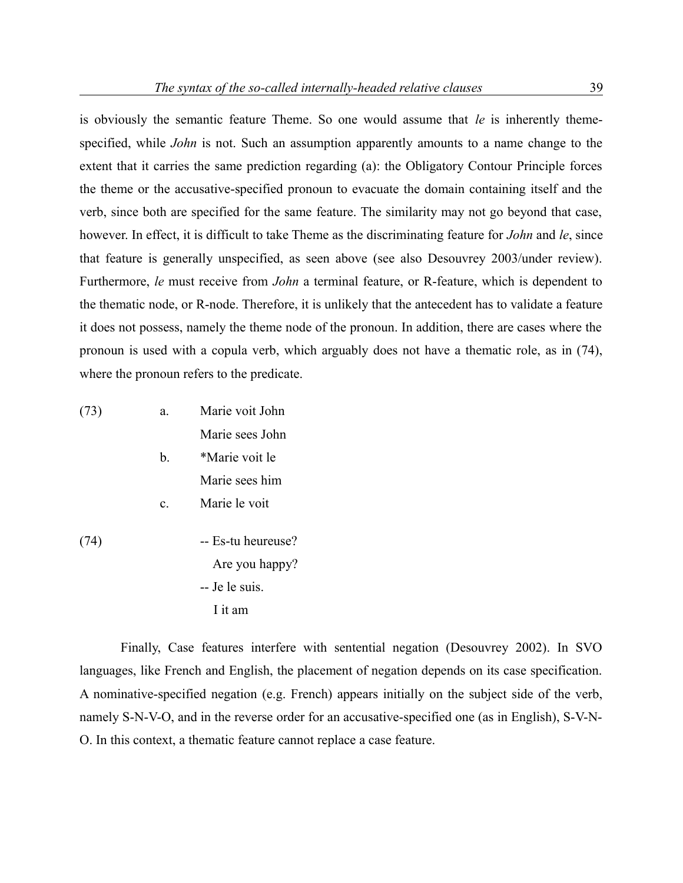is obviously the semantic feature Theme. So one would assume that *le* is inherently themespecified, while *John* is not. Such an assumption apparently amounts to a name change to the extent that it carries the same prediction regarding (a): the Obligatory Contour Principle forces the theme or the accusative-specified pronoun to evacuate the domain containing itself and the verb, since both are specified for the same feature. The similarity may not go beyond that case, however. In effect, it is difficult to take Theme as the discriminating feature for *John* and *le*, since that feature is generally unspecified, as seen above (see also Desouvrey 2003/under review). Furthermore, *le* must receive from *John* a terminal feature, or R-feature, which is dependent to the thematic node, or R-node. Therefore, it is unlikely that the antecedent has to validate a feature it does not possess, namely the theme node of the pronoun. In addition, there are cases where the pronoun is used with a copula verb, which arguably does not have a thematic role, as in (74), where the pronoun refers to the predicate.

| (73) | a.             | Marie voit John |
|------|----------------|-----------------|
|      |                | Marie sees John |
|      | h.             | *Marie voit le  |
|      |                | Marie sees him  |
|      | $\mathbf{c}$ . | Marie le voit   |
|      |                |                 |

(74) -- Es-tu heureuse? Are you happy? -- Je le suis. I it am

Finally, Case features interfere with sentential negation (Desouvrey 2002). In SVO languages, like French and English, the placement of negation depends on its case specification. A nominative-specified negation (e.g. French) appears initially on the subject side of the verb, namely S-N-V-O, and in the reverse order for an accusative-specified one (as in English), S-V-N-O. In this context, a thematic feature cannot replace a case feature.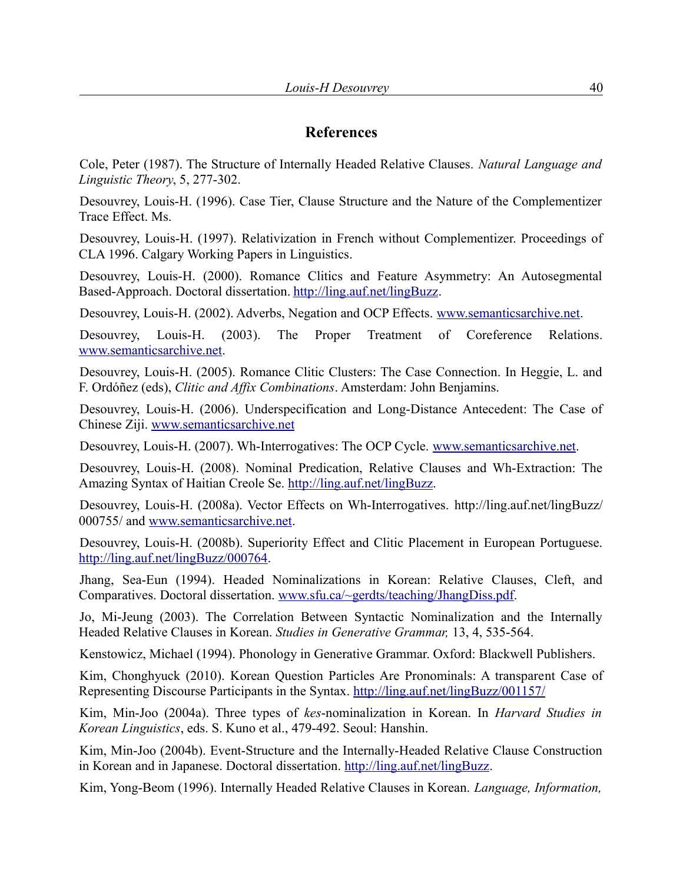# **References**

Cole, Peter (1987). The Structure of Internally Headed Relative Clauses. *Natural Language and Linguistic Theory*, 5, 277-302.

Desouvrey, Louis-H. (1996). Case Tier, Clause Structure and the Nature of the Complementizer Trace Effect. Ms.

Desouvrey, Louis-H. (1997). Relativization in French without Complementizer. Proceedings of CLA 1996. Calgary Working Papers in Linguistics.

Desouvrey, Louis-H. (2000). Romance Clitics and Feature Asymmetry: An Autosegmental Based-Approach. Doctoral dissertation. [http://ling.auf.net/lingBuzz.](http://ling.auf.net/lingBuzz)

Desouvrey, Louis-H. (2002). Adverbs, Negation and OCP Effects. [www.semanticsarchive.net.](http://www.semanticsarchive.net/)

Desouvrey, Louis-H. (2003). The Proper Treatment of Coreference Relations. [www.semanticsarchive.net.](http://www.semanticsarchive.net/)

Desouvrey, Louis-H. (2005). Romance Clitic Clusters: The Case Connection. In Heggie, L. and F. Ordóñez (eds), *Clitic and Affix Combinations*. Amsterdam: John Benjamins.

Desouvrey, Louis-H. (2006). Underspecification and Long-Distance Antecedent: The Case of Chinese Ziji. [www.semanticsarchive.net](http://www.semanticsarchive.net/)

Desouvrey, Louis-H. (2007). Wh-Interrogatives: The OCP Cycle. [www.semanticsarchive.net.](http://www.semanticsarchive.net/)

Desouvrey, Louis-H. (2008). Nominal Predication, Relative Clauses and Wh-Extraction: The Amazing Syntax of Haitian Creole Se. [http://ling.auf.net/lingBuzz.](http://ling.auf.net/lingBuzz)

Desouvrey, Louis-H. (2008a). Vector Effects on Wh-Interrogatives. http://ling.auf.net/lingBuzz/ 000755/ and [www.semanticsarchive.net.](http://www.semanticsarchive.net/)

Desouvrey, Louis-H. (2008b). Superiority Effect and Clitic Placement in European Portuguese. [http://ling.auf.net/lingBuzz/000764.](http://ling.auf.net/lingBuzz/000764)

Jhang, Sea-Eun (1994). Headed Nominalizations in Korean: Relative Clauses, Cleft, and Comparatives. Doctoral dissertation. [www.sfu.ca/~gerdts/teaching/JhangDiss.pdf.](http://www.sfu.ca/~gerdts/teaching/JhangDiss.pdf./)

Jo, Mi-Jeung (2003). The Correlation Between Syntactic Nominalization and the Internally Headed Relative Clauses in Korean. *Studies in Generative Grammar,* 13, 4, 535-564.

Kenstowicz, Michael (1994). Phonology in Generative Grammar. Oxford: Blackwell Publishers.

Kim, Chonghyuck (2010). Korean Question Particles Are Pronominals: A transparent Case of Representing Discourse Participants in the Syntax.<http://ling.auf.net/lingBuzz/001157/>

Kim, Min-Joo (2004a). Three types of *kes*-nominalization in Korean. In *Harvard Studies in Korean Linguistics*, eds. S. Kuno et al., 479-492. Seoul: Hanshin.

Kim, Min-Joo (2004b). Event-Structure and the Internally-Headed Relative Clause Construction in Korean and in Japanese. Doctoral dissertation. [http://ling.auf.net/lingBuzz.](http://ling.auf.net/lingBuzz)

Kim, Yong-Beom (1996). Internally Headed Relative Clauses in Korean. *Language, Information,*